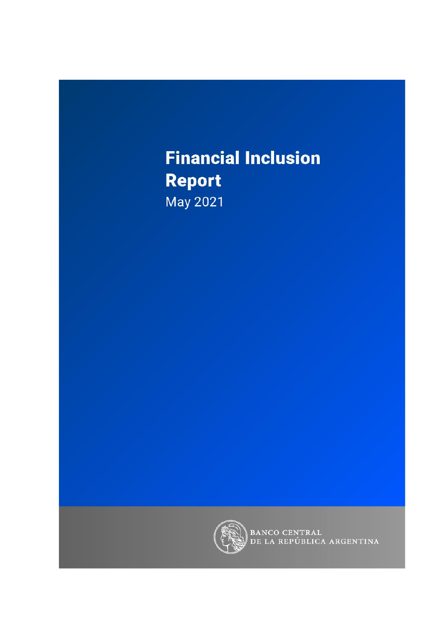# **Financial Inclusion Report** May 2021



BANCO CENTRAL<br>DE LA REPÚBLICA ARGENTINA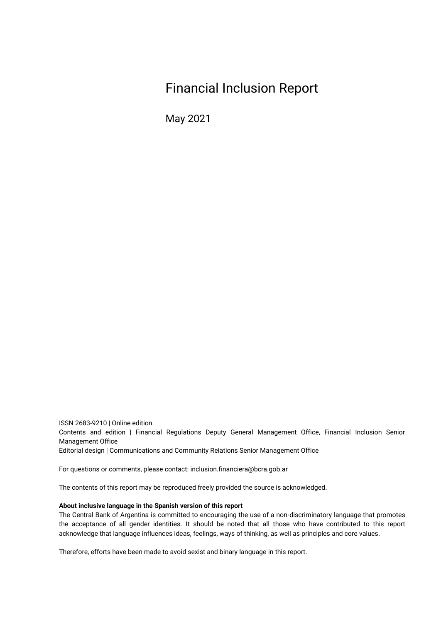### Financial Inclusion Report

May 2021

ISSN 2683-9210 | Online edition Contents and edition | Financial Regulations Deputy General Management Office, Financial Inclusion Senior Management Office Editorial design | Communications and Community Relations Senior Management Office

For questions or comments, please contact: inclusion.financiera@bcra.gob.ar

The contents of this report may be reproduced freely provided the source is acknowledged.

#### **About inclusive language in the Spanish version of this report**

The Central Bank of Argentina is committed to encouraging the use of a non-discriminatory language that promotes the acceptance of all gender identities. It should be noted that all those who have contributed to this report acknowledge that language influences ideas, feelings, ways of thinking, as well as principles and core values.

Therefore, efforts have been made to avoid sexist and binary language in this report.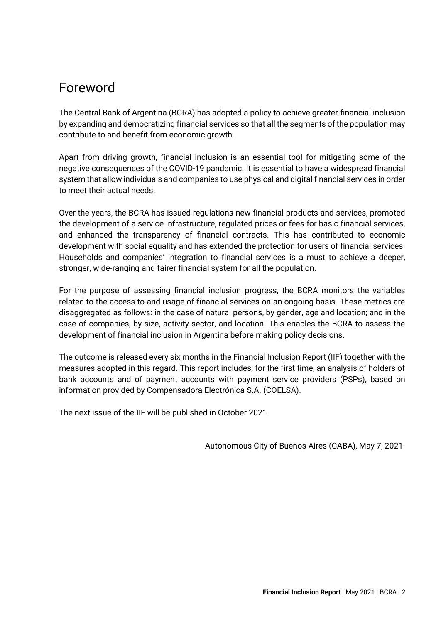### <span id="page-2-0"></span>Foreword

The Central Bank of Argentina (BCRA) has adopted a policy to achieve greater financial inclusion by expanding and democratizing financial services so that all the segments of the population may contribute to and benefit from economic growth.

Apart from driving growth, financial inclusion is an essential tool for mitigating some of the negative consequences of the COVID-19 pandemic. It is essential to have a widespread financial system that allow individuals and companies to use physical and digital financial services in order to meet their actual needs.

Over the years, the BCRA has issued regulations new financial products and services, promoted the development of a service infrastructure, regulated prices or fees for basic financial services, and enhanced the transparency of financial contracts. This has contributed to economic development with social equality and has extended the protection for users of financial services. Households and companies' integration to financial services is a must to achieve a deeper, stronger, wide-ranging and fairer financial system for all the population.

For the purpose of assessing financial inclusion progress, the BCRA monitors the variables related to the access to and usage of financial services on an ongoing basis. These metrics are disaggregated as follows: in the case of natural persons, by gender, age and location; and in the case of companies, by size, activity sector, and location. This enables the BCRA to assess the development of financial inclusion in Argentina before making policy decisions.

The outcome is released every six months in the Financial Inclusion Report (IIF) together with the measures adopted in this regard. This report includes, for the first time, an analysis of holders of bank accounts and of payment accounts with payment service providers (PSPs), based on information provided by Compensadora Electrónica S.A. (COELSA).

The next issue of the IIF will be published in October 2021.

Autonomous City of Buenos Aires (CABA), May 7, 2021.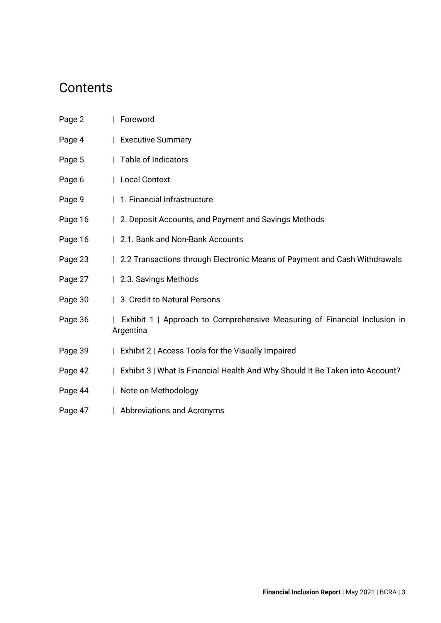### **Contents**

| Page 2  | Foreword                                                                               |
|---------|----------------------------------------------------------------------------------------|
| Page 4  | Executive Summary                                                                      |
| Page 5  | Table of Indicators                                                                    |
| Page 6  | Local Context                                                                          |
| Page 9  | 1. Financial Infrastructure                                                            |
| Page 16 | 2. Deposit Accounts, and Payment and Savings Methods                                   |
| Page 16 | 2.1. Bank and Non-Bank Accounts                                                        |
| Page 23 | 2.2 Transactions through Electronic Means of Payment and Cash Withdrawals              |
| Page 27 | 2.3. Savings Methods                                                                   |
| Page 30 | 3. Credit to Natural Persons                                                           |
| Page 36 | Exhibit 1   Approach to Comprehensive Measuring of Financial Inclusion in<br>Argentina |
| Page 39 | Exhibit 2   Access Tools for the Visually Impaired                                     |
| Page 42 | Exhibit 3   What Is Financial Health And Why Should It Be Taken into Account?          |
| Page 44 | Note on Methodology                                                                    |
| Page 47 | Abbreviations and Acronyms                                                             |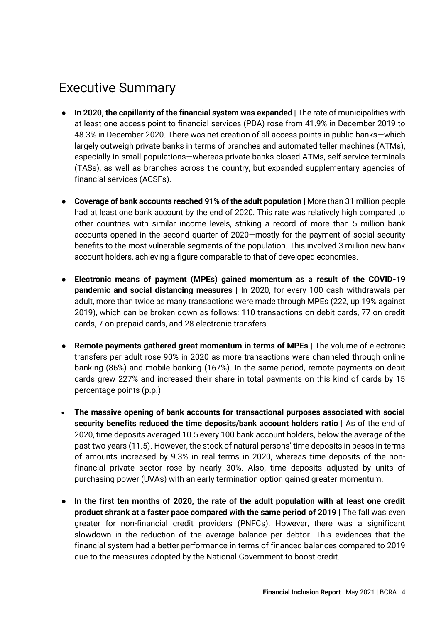### <span id="page-4-0"></span>Executive Summary

- **In 2020, the capillarity of the financial system was expanded |** The rate of municipalities with at least one access point to financial services (PDA) rose from 41.9% in December 2019 to 48.3% in December 2020. There was net creation of all access points in public banks—which largely outweigh private banks in terms of branches and automated teller machines (ATMs), especially in small populations—whereas private banks closed ATMs, self-service terminals (TASs), as well as branches across the country, but expanded supplementary agencies of financial services (ACSFs).
- **Coverage of bank accounts reached 91% of the adult population |** More than 31 million people had at least one bank account by the end of 2020. This rate was relatively high compared to other countries with similar income levels, striking a record of more than 5 million bank accounts opened in the second quarter of 2020—mostly for the payment of social security benefits to the most vulnerable segments of the population. This involved 3 million new bank account holders, achieving a figure comparable to that of developed economies.
- **Electronic means of payment (MPEs) gained momentum as a result of the COVID-19 pandemic and social distancing measures |** In 2020, for every 100 cash withdrawals per adult, more than twice as many transactions were made through MPEs (222, up 19% against 2019), which can be broken down as follows: 110 transactions on debit cards, 77 on credit cards, 7 on prepaid cards, and 28 electronic transfers.
- **Remote payments gathered great momentum in terms of MPEs |** The volume of electronic transfers per adult rose 90% in 2020 as more transactions were channeled through online banking (86%) and mobile banking (167%). In the same period, remote payments on debit cards grew 227% and increased their share in total payments on this kind of cards by 15 percentage points (p.p.)
- **The massive opening of bank accounts for transactional purposes associated with social security benefits reduced the time deposits/bank account holders ratio |** As of the end of 2020, time deposits averaged 10.5 every 100 bank account holders, below the average of the past two years (11.5). However, the stock of natural persons' time deposits in pesos in terms of amounts increased by 9.3% in real terms in 2020, whereas time deposits of the nonfinancial private sector rose by nearly 30%. Also, time deposits adjusted by units of purchasing power (UVAs) with an early termination option gained greater momentum.
- **In the first ten months of 2020, the rate of the adult population with at least one credit product shrank at a faster pace compared with the same period of 2019 |** The fall was even greater for non-financial credit providers (PNFCs). However, there was a significant slowdown in the reduction of the average balance per debtor. This evidences that the financial system had a better performance in terms of financed balances compared to 2019 due to the measures adopted by the National Government to boost credit.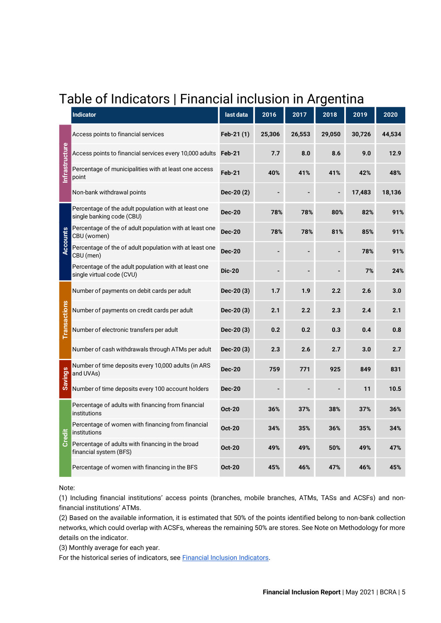# <span id="page-5-0"></span>Table of Indicators | Financial inclusion in Argentina

|                     | <b>Indicator</b>                                                                  | last data     | 2016   | 2017   | 2018   | 2019   | 2020   |
|---------------------|-----------------------------------------------------------------------------------|---------------|--------|--------|--------|--------|--------|
|                     | Access points to financial services                                               | Feb-21 (1)    | 25,306 | 26,553 | 29,050 | 30,726 | 44,534 |
|                     | Access points to financial services every 10,000 adults                           | Feb-21        | 7.7    | 8.0    | 8.6    | 9.0    | 12.9   |
| nfrastructure       | Percentage of municipalities with at least one access<br>point                    | Feb-21        | 40%    | 41%    | 41%    | 42%    | 48%    |
|                     | Non-bank withdrawal points                                                        | Dec-20(2)     |        |        |        | 17,483 | 18,136 |
|                     | Percentage of the adult population with at least one<br>single banking code (CBU) | <b>Dec-20</b> | 78%    | 78%    | 80%    | 82%    | 91%    |
| <b>Accounts</b>     | Percentage of the of adult population with at least one<br>CBU (women)            | <b>Dec-20</b> | 78%    | 78%    | 81%    | 85%    | 91%    |
|                     | Percentage of the of adult population with at least one<br>CBU (men)              | <b>Dec-20</b> |        |        |        | 78%    | 91%    |
|                     | Percentage of the adult population with at least one<br>single virtual code (CVU) | <b>Dic-20</b> |        |        |        | 7%     | 24%    |
|                     | Number of payments on debit cards per adult                                       | Dec-20 (3)    | 1.7    | 1.9    | 2.2    | 2.6    | 3.0    |
| <b>Transactions</b> | Number of payments on credit cards per adult                                      | $Dec-20(3)$   | 2.1    | 2.2    | 2.3    | 2.4    | 2.1    |
|                     | Number of electronic transfers per adult                                          | $Dec-20(3)$   | 0.2    | 0.2    | 0.3    | 0.4    | 0.8    |
|                     | Number of cash withdrawals through ATMs per adult                                 | $Dec-20(3)$   | 2.3    | 2.6    | 2.7    | 3.0    | 2.7    |
| <b>Savings</b>      | Number of time deposits every 10,000 adults (in ARS<br>and UVAs)                  | <b>Dec-20</b> | 759    | 771    | 925    | 849    | 831    |
|                     | Number of time deposits every 100 account holders                                 | <b>Dec-20</b> |        |        |        | 11     | 10.5   |
|                     | Percentage of adults with financing from financial<br>institutions                | <b>Oct-20</b> | 36%    | 37%    | 38%    | 37%    | 36%    |
| Credit              | Percentage of women with financing from financial<br>institutions                 | <b>Oct-20</b> | 34%    | 35%    | 36%    | 35%    | 34%    |
|                     | Percentage of adults with financing in the broad<br>financial system (BFS)        | <b>Oct-20</b> | 49%    | 49%    | 50%    | 49%    | 47%    |
|                     | Percentage of women with financing in the BFS                                     | <b>Oct-20</b> | 45%    | 46%    | 47%    | 46%    | 45%    |

Note:

(1) Including financial institutions' access points (branches, mobile branches, ATMs, TASs and ACSFs) and nonfinancial institutions' ATMs.

(2) Based on the available information, it is estimated that 50% of the points identified belong to non-bank collection networks, which could overlap with ACSFs, whereas the remaining 50% are stores. See Note on Methodology for more details on the indicator.

(3) Monthly average for each year.

For the historical series of indicators, see **Financial Inclusion Indicators**.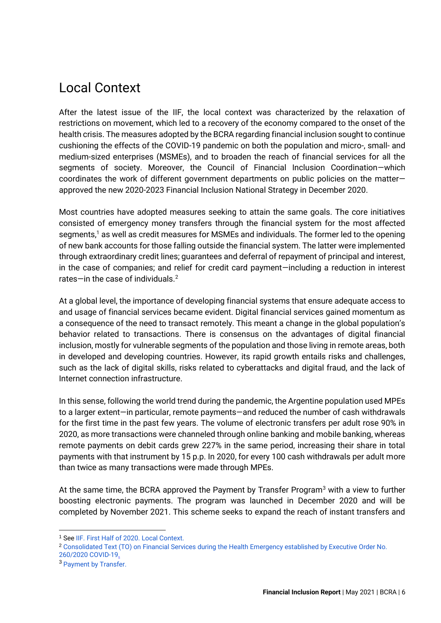### <span id="page-6-0"></span>Local Context

After the latest issue of the IIF, the local context was characterized by the relaxation of restrictions on movement, which led to a recovery of the economy compared to the onset of the health crisis. The measures adopted by the BCRA regarding financial inclusion sought to continue cushioning the effects of the COVID-19 pandemic on both the population and micro-, small- and medium-sized enterprises (MSMEs), and to broaden the reach of financial services for all the segments of society. Moreover, the Council of Financial Inclusion Coordination—which coordinates the work of different government departments on public policies on the matter approved the new 2020-2023 Financial Inclusion National Strategy in December 2020.

Most countries have adopted measures seeking to attain the same goals. The core initiatives consisted of emergency money transfers through the financial system for the most affected segments,<sup>1</sup> as well as credit measures for MSMEs and individuals. The former led to the opening of new bank accounts for those falling outside the financial system. The latter were implemented through extraordinary credit lines; guarantees and deferral of repayment of principal and interest, in the case of companies; and relief for credit card payment—including a reduction in interest rates—in the case of individuals.<sup>2</sup>

At a global level, the importance of developing financial systems that ensure adequate access to and usage of financial services became evident. Digital financial services gained momentum as a consequence of the need to transact remotely. This meant a change in the global population's behavior related to transactions. There is consensus on the advantages of digital financial inclusion, mostly for vulnerable segments of the population and those living in remote areas, both in developed and developing countries. However, its rapid growth entails risks and challenges, such as the lack of digital skills, risks related to cyberattacks and digital fraud, and the lack of Internet connection infrastructure.

In this sense, following the world trend during the pandemic, the Argentine population used MPEs to a larger extent—in particular, remote payments—and reduced the number of cash withdrawals for the first time in the past few years. The volume of electronic transfers per adult rose 90% in 2020, as more transactions were channeled through online banking and mobile banking, whereas remote payments on debit cards grew 227% in the same period, increasing their share in total payments with that instrument by 15 p.p. In 2020, for every 100 cash withdrawals per adult more than twice as many transactions were made through MPEs.

At the same time, the BCRA approved the Payment by Transfer Program $3$  with a view to further boosting electronic payments. The program was launched in December 2020 and will be completed by November 2021. This scheme seeks to expand the reach of instant transfers and

<sup>1</sup> See IIF. First Half of 2020. Local Context.

<sup>2</sup> Consolidated Text (TO) o[n Financial Services during the Health Emergency established by Executive Order No.](http://bcra.gob.ar/Pdfs/Texord/t-sfcovid.pdf) 

[<sup>260/2020</sup> COVID-19.](http://bcra.gob.ar/Pdfs/Texord/t-sfcovid.pdf)

<sup>3</sup> [Payment by Transfer.](http://www.bcra.gov.ar/Noticias/transferencias-3-0.asp)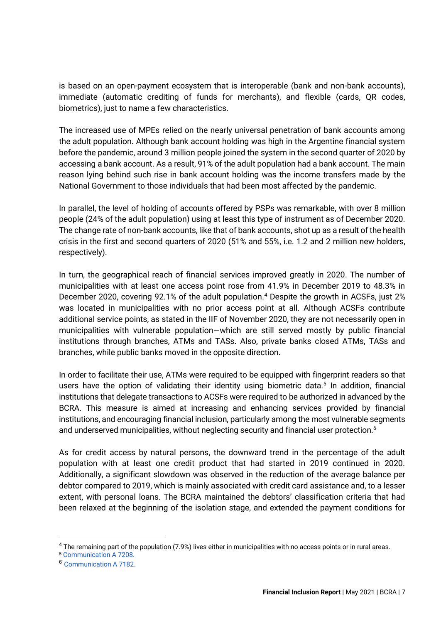is based on an open-payment ecosystem that is interoperable (bank and non-bank accounts), immediate (automatic crediting of funds for merchants), and flexible (cards, QR codes, biometrics), just to name a few characteristics.

The increased use of MPEs relied on the nearly universal penetration of bank accounts among the adult population. Although bank account holding was high in the Argentine financial system before the pandemic, around 3 million people joined the system in the second quarter of 2020 by accessing a bank account. As a result, 91% of the adult population had a bank account. The main reason lying behind such rise in bank account holding was the income transfers made by the National Government to those individuals that had been most affected by the pandemic.

In parallel, the level of holding of accounts offered by PSPs was remarkable, with over 8 million people (24% of the adult population) using at least this type of instrument as of December 2020. The change rate of non-bank accounts, like that of bank accounts, shot up as a result of the health crisis in the first and second quarters of 2020 (51% and 55%, i.e. 1.2 and 2 million new holders, respectively).

In turn, the geographical reach of financial services improved greatly in 2020. The number of municipalities with at least one access point rose from 41.9% in December 2019 to 48.3% in December 2020, covering 92.1% of the adult population.<sup>4</sup> Despite the growth in ACSFs, just 2% was located in municipalities with no prior access point at all. Although ACSFs contribute additional service points, as stated in the IIF of November 2020, they are not necessarily open in municipalities with vulnerable population—which are still served mostly by public financial institutions through branches, ATMs and TASs. Also, private banks closed ATMs, TASs and branches, while public banks moved in the opposite direction.

In order to facilitate their use, ATMs were required to be equipped with fingerprint readers so that users have the option of validating their identity using biometric data.<sup>5</sup> In addition, financial institutions that delegate transactions to ACSFs were required to be authorized in advanced by the BCRA. This measure is aimed at increasing and enhancing services provided by financial institutions, and encouraging financial inclusion, particularly among the most vulnerable segments and underserved municipalities, without neglecting security and financial user protection.<sup>6</sup>

As for credit access by natural persons, the downward trend in the percentage of the adult population with at least one credit product that had started in 2019 continued in 2020. Additionally, a significant slowdown was observed in the reduction of the average balance per debtor compared to 2019, which is mainly associated with credit card assistance and, to a lesser extent, with personal loans. The BCRA maintained the debtors' classification criteria that had been relaxed at the beginning of the isolation stage, and extended the payment conditions for

<sup>4</sup> The remaining part of the population (7.9%) lives either in municipalities with no access points or in rural areas.

<sup>5</sup> [Communication A 7208.](http://www.bcra.gov.ar/Pdfs/comytexord/A7208.pdf)

<sup>6</sup> [Communication A 7182.](http://bcra.gob.ar/Pdfs/comytexord/A7182.pdf)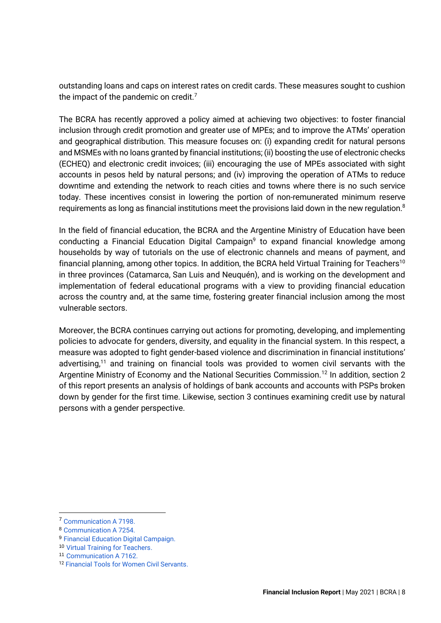outstanding loans and caps on interest rates on credit cards. These measures sought to cushion the impact of the pandemic on credit.<sup>7</sup>

The BCRA has recently approved a policy aimed at achieving two objectives: to foster financial inclusion through credit promotion and greater use of MPEs; and to improve the ATMs' operation and geographical distribution. This measure focuses on: (i) expanding credit for natural persons and MSMEs with no loans granted by financial institutions; (ii) boosting the use of electronic checks (ECHEQ) and electronic credit invoices; (iii) encouraging the use of MPEs associated with sight accounts in pesos held by natural persons; and (iv) improving the operation of ATMs to reduce downtime and extending the network to reach cities and towns where there is no such service today. These incentives consist in lowering the portion of non-remunerated minimum reserve requirements as long as financial institutions meet the provisions laid down in the new regulation.<sup>8</sup>

In the field of financial education, the BCRA and the Argentine Ministry of Education have been conducting a [Financial Education Digital Campaign](http://bcra.gob.ar/BCRAyVos/Programas-Educacion-Financiera-bcra.asp#campa%C3%B1adigital)<sup>9</sup> to expand financial knowledge among households by way of tutorials on the use of electronic channels and means of payment, and financial planning, among other topics. In addition, the BCRA held [Virtual Training for Teachers](http://bcra.gob.ar/BCRAyVos/Programas-Educacion-Financiera-bcra.asp#campa%C3%B1avirtualdocentes)<sup>10</sup> in three provinces (Catamarca, San Luis and Neuquén), and is working on the development and implementation of federal educational programs with a view to providing financial education across the country and, at the same time, fostering greater financial inclusion among the most vulnerable sectors.

Moreover, the BCRA continues carrying out actions for promoting, developing, and implementing policies to advocate for genders, diversity, and equality in the financial system. In this respect, a measure was adopted to fight gender-based violence and discrimination in financial institutions' advertising,<sup>11</sup> and training on financial tools was provided to women civil servants with the Argentine Ministry of Economy and the National Securities Commission.<sup>12</sup> In addition, section 2 of this report presents an analysis of holdings of bank accounts and accounts with PSPs broken down by gender for the first time. Likewise, section 3 continues examining credit use by natural persons with a gender perspective.

<sup>7</sup> [Communication A 7198.](http://bcra.gob.ar/Pdfs/comytexord/A7198.pdf)

<sup>8</sup> [Communication A 7254.](http://bcra.gob.ar/Pdfs/comytexord/A7254.pdf)

<sup>9</sup> [Financial Education Digital Campaign.](http://bcra.gob.ar/BCRAyVos/Programas-Educacion-Financiera-bcra.asp#campa%C3%B1adigital)

<sup>10</sup> [Virtual Training for Teachers.](http://bcra.gob.ar/BCRAyVos/Programas-Educacion-Financiera-bcra.asp#campa%C3%B1avirtualdocentes)

<sup>11</sup> Communication A 7162.

<sup>12</sup> [Financial Tools for Women Civil Servants.](https://capacitacionapn.gob.ar/l/curso-una-aproximacion-a-las-herramientas-financieras-para-las-trabajadoras-del-estado/)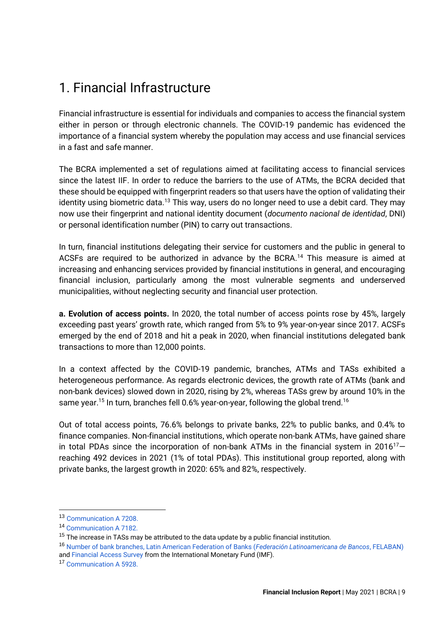### <span id="page-9-0"></span>1. Financial Infrastructure

Financial infrastructure is essential for individuals and companies to access the financial system either in person or through electronic channels. The COVID-19 pandemic has evidenced the importance of a financial system whereby the population may access and use financial services in a fast and safe manner.

The BCRA implemented a set of regulations aimed at facilitating access to financial services since the latest IIF. In order to reduce the barriers to the use of ATMs, the BCRA decided that these should be equipped with fingerprint readers so that users have the option of validating their identity using biometric data.<sup>13</sup> This way, users do no longer need to use a debit card. They may now use their fingerprint and national identity document (*documento nacional de identidad*, DNI) or personal identification number (PIN) to carry out transactions.

In turn, financial institutions delegating their service for customers and the public in general to ACSFs are required to be authorized in advance by the BCRA.<sup>14</sup> This measure is aimed at increasing and enhancing services provided by financial institutions in general, and encouraging financial inclusion, particularly among the most vulnerable segments and underserved municipalities, without neglecting security and financial user protection.

**a. Evolution of access points.** In 2020, the total number of access points rose by 45%, largely exceeding past years' growth rate, which ranged from 5% to 9% year-on-year since 2017. ACSFs emerged by the end of 2018 and hit a peak in 2020, when financial institutions delegated bank transactions to more than 12,000 points.

In a context affected by the COVID-19 pandemic, branches, ATMs and TASs exhibited a heterogeneous performance. As regards electronic devices, the growth rate of ATMs (bank and non-bank devices) slowed down in 2020, rising by 2%, whereas TASs grew by around 10% in the same year.<sup>15</sup> In turn, branches fell 0.6% year-on-year, following the global trend.<sup>16</sup>

Out of total access points, 76.6% belongs to private banks, 22% to public banks, and 0.4% to finance companies. Non-financial institutions, which operate non-bank ATMs, have gained share in total PDAs since the incorporation of non-bank ATMs in the financial system in  $2016^{17}$ reaching 492 devices in 2021 (1% of total PDAs). This institutional group reported, along with private banks, the largest growth in 2020: 65% and 82%, respectively.

<sup>13</sup> [Communication A 7208.](http://bcra.gob.ar/Pdfs/comytexord/A7208.pdf)

<sup>14</sup> [Communication A 7182.](http://bcra.gob.ar/Pdfs/comytexord/A7182.pdf)

 $15$  The increase in TASs may be attributed to the data update by a public financial institution.

<sup>16</sup> [Number of bank branches, Latin American Federation of Banks \(](https://indicadores.felaban.net/indicadores_homologados/index.php)*Federación Latinoamericana de Bancos*, FELABAN) and [Financial Access Survey](https://data.imf.org/?sk=E5DCAB7E-A5CA-4892-A6EA-598B5463A34C) from the International Monetary Fund (IMF).

<sup>17</sup> [Communication A 5928.](http://www.bcra.gov.ar/Pdfs/comytexord/A5928.pdf)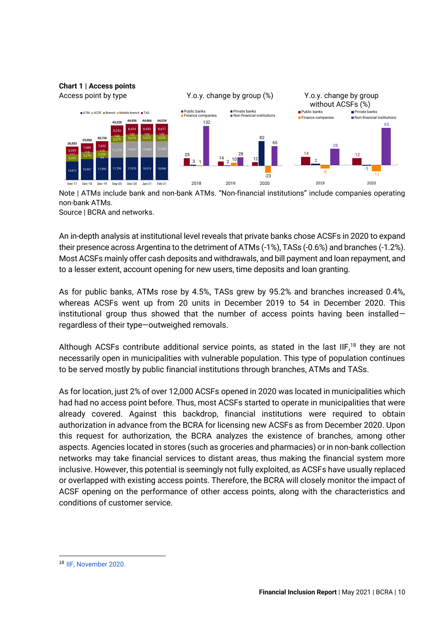

Note | ATMs include bank and non-bank ATMs. "Non-financial institutions" include companies operating non-bank ATMs.

Source | BCRA and networks.

An in-depth analysis at institutional level reveals that private banks chose ACSFs in 2020 to expand their presence across Argentina to the detriment of ATMs (-1%), TASs (-0.6%) and branches (-1.2%). Most ACSFs mainly offer cash deposits and withdrawals, and bill payment and loan repayment, and to a lesser extent, account opening for new users, time deposits and loan granting.

As for public banks, ATMs rose by 4.5%, TASs grew by 95.2% and branches increased 0.4%, whereas ACSFs went up from 20 units in December 2019 to 54 in December 2020. This institutional group thus showed that the number of access points having been installed regardless of their type—outweighed removals.

Although ACSFs contribute additional service points, as stated in the last  $IIF<sub>18</sub>$  they are not necessarily open in municipalities with vulnerable population. This type of population continues to be served mostly by public financial institutions through branches, ATMs and TASs.

As for location, just 2% of over 12,000 ACSFs opened in 2020 was located in municipalities which had had no access point before. Thus, most ACSFs started to operate in municipalities that were already covered. Against this backdrop, financial institutions were required to obtain authorization in advance from the BCRA for licensing new ACSFs as from December 2020. Upon this request for authorization, the BCRA analyzes the existence of branches, among other aspects. Agencies located in stores (such as groceries and pharmacies) or in non-bank collection networks may take financial services to distant areas, thus making the financial system more inclusive. However, this potential is seemingly not fully exploited, as ACSFs have usually replaced or overlapped with existing access points. Therefore, the BCRA will closely monitor the impact of ACSF opening on the performance of other access points, along with the characteristics and conditions of customer service.

<sup>18</sup> [IIF, November 2020.](http://bcra.gob.ar/Pdfs/PublicacionesEstadisticas/IIF_0220.pdf)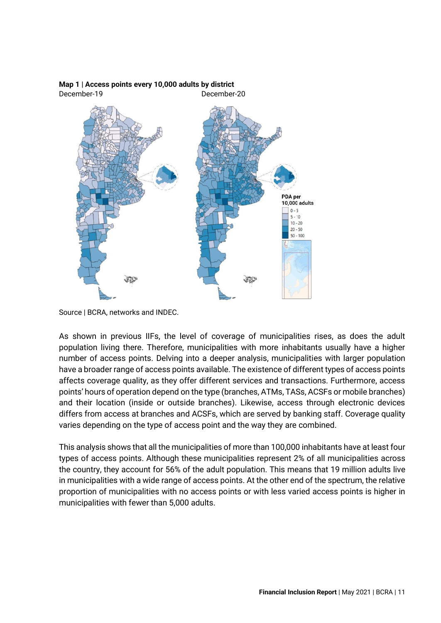

#### **Map 1 | Access points every 10,000 adults by district** December-19 December-20

Source | BCRA, networks and INDEC.

As shown in previous IIFs, the level of coverage of municipalities rises, as does the adult population living there. Therefore, municipalities with more inhabitants usually have a higher number of access points. Delving into a deeper analysis, municipalities with larger population have a broader range of access points available. The existence of different types of access points affects coverage quality, as they offer different services and transactions. Furthermore, access points' hours of operation depend on the type (branches, ATMs, TASs, ACSFs or mobile branches) and their location (inside or outside branches). Likewise, access through electronic devices differs from access at branches and ACSFs, which are served by banking staff. Coverage quality varies depending on the type of access point and the way they are combined.

This analysis shows that all the municipalities of more than 100,000 inhabitants have at least four types of access points. Although these municipalities represent 2% of all municipalities across the country, they account for 56% of the adult population. This means that 19 million adults live in municipalities with a wide range of access points. At the other end of the spectrum, the relative proportion of municipalities with no access points or with less varied access points is higher in municipalities with fewer than 5,000 adults.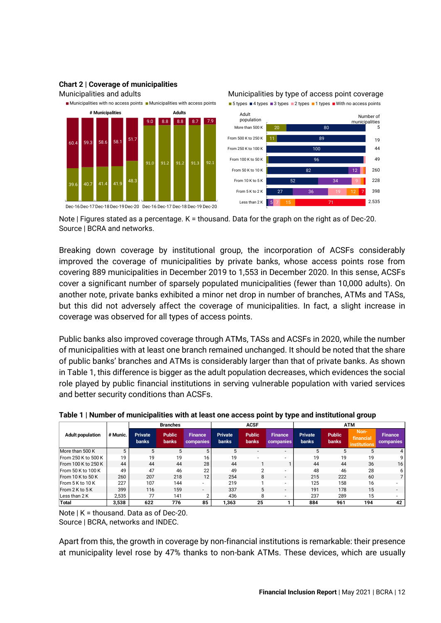

#### **Chart 2 | Coverage of municipalities**

Note | Figures stated as a percentage. K = thousand. Data for the graph on the right as of Dec-20. Source | BCRA and networks.

Breaking down coverage by institutional group, the incorporation of ACSFs considerably improved the coverage of municipalities by private banks, whose access points rose from covering 889 municipalities in December 2019 to 1,553 in December 2020. In this sense, ACSFs cover a significant number of sparsely populated municipalities (fewer than 10,000 adults). On another note, private banks exhibited a minor net drop in number of branches, ATMs and TASs, but this did not adversely affect the coverage of municipalities. In fact, a slight increase in coverage was observed for all types of access points.

Public banks also improved coverage through ATMs, TASs and ACSFs in 2020, while the number of municipalities with at least one branch remained unchanged. It should be noted that the share of public banks' branches and ATMs is considerably larger than that of private banks. As shown in Table 1, this difference is bigger as the adult population decreases, which evidences the social role played by public financial institutions in serving vulnerable population with varied services and better security conditions than ACSFs.

|                         |          |                                | <b>Branches</b>               |                             |                                | <b>ACSF</b>                   |                             | <b>ATM</b>                     |                               |                                          |                             |
|-------------------------|----------|--------------------------------|-------------------------------|-----------------------------|--------------------------------|-------------------------------|-----------------------------|--------------------------------|-------------------------------|------------------------------------------|-----------------------------|
| <b>Adult population</b> | # Munic. | <b>Private</b><br><b>banks</b> | <b>Public</b><br><b>banks</b> | <b>Finance</b><br>companies | <b>Private</b><br><b>banks</b> | <b>Public</b><br><b>banks</b> | <b>Finance</b><br>companies | <b>Private</b><br><b>banks</b> | <b>Public</b><br><b>banks</b> | Non-<br>financial<br><b>institutions</b> | <b>Finance</b><br>companies |
| More than 500 K         | 5        | 5                              | 5                             | 5                           | 5                              |                               | $\overline{\phantom{a}}$    | 5                              | 5                             | 5                                        | 4                           |
| From 250 K to 500 K     | 19       | 19                             | 19                            | 16                          | 19                             |                               |                             | 19                             | 19                            | 19                                       | q                           |
| From 100 K to 250 K     | 44       | 44                             | 44                            | 28                          | 44                             |                               |                             | 44                             | 44                            | 36                                       | 16                          |
| From 50 K to 100 K      | 49       | 47                             | 46                            | 22                          | 49                             | ◠                             |                             | 48                             | 46                            | 28                                       | 6.                          |
| From $10K$ to $50K$     | 260      | 207                            | 218                           | 12                          | 254                            | 8                             | -                           | 215                            | 222                           | 60                                       |                             |
| From 5 K to 10 K        | 227      | 107                            | 144                           | $\overline{a}$              | 219                            |                               | -                           | 125                            | 158                           | 16                                       |                             |
| From 2 K to 5 K         | 399      | 116                            | 159                           | $\overline{a}$              | 337                            | 5                             | ۰.                          | 191                            | 178                           | 15                                       |                             |
| Less than 2 K           | 2,535    | 77                             | 141                           |                             | 436                            | 8                             | ۰.                          | 237                            | 289                           | 15                                       |                             |
| Total                   | 3.538    | 622                            | 776                           | 85                          | 1.363                          | 25                            |                             | 884                            | 961                           | 194                                      | 42                          |

#### **Table 1 | Number of municipalities with at least one access point by type and institutional group**

Note | K = thousand. Data as of Dec-20. Source | BCRA, networks and INDEC.

Apart from this, the growth in coverage by non-financial institutions is remarkable: their presence at municipality level rose by 47% thanks to non-bank ATMs. These devices, which are usually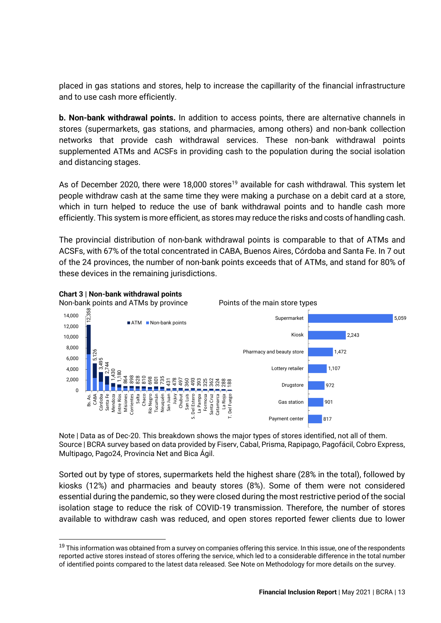placed in gas stations and stores, help to increase the capillarity of the financial infrastructure and to use cash more efficiently.

**b. Non-bank withdrawal points.** In addition to access points, there are alternative channels in stores (supermarkets, gas stations, and pharmacies, among others) and non-bank collection networks that provide cash withdrawal services. These non-bank withdrawal points supplemented ATMs and ACSFs in providing cash to the population during the social isolation and distancing stages.

As of December 2020, there were 18,000 stores<sup>19</sup> available for cash withdrawal. This system let people withdraw cash at the same time they were making a purchase on a debit card at a store, which in turn helped to reduce the use of bank withdrawal points and to handle cash more efficiently. This system is more efficient, as stores may reduce the risks and costs of handling cash.

The provincial distribution of non-bank withdrawal points is comparable to that of ATMs and ACSFs, with 67% of the total concentrated in CABA, Buenos Aires, Córdoba and Santa Fe. In 7 out of the 24 provinces, the number of non-bank points exceeds that of ATMs, and stand for 80% of these devices in the remaining jurisdictions.



Note | Data as of Dec-20. This breakdown shows the major types of stores identified, not all of them. Source | BCRA survey based on data provided by Fiserv, Cabal, Prisma, Rapipago, Pagofácil, Cobro Express, Multipago, Pago24, Provincia Net and Bica Ágil.

Sorted out by type of stores, supermarkets held the highest share (28% in the total), followed by kiosks (12%) and pharmacies and beauty stores (8%). Some of them were not considered essential during the pandemic, so they were closed during the most restrictive period of the social isolation stage to reduce the risk of COVID-19 transmission. Therefore, the number of stores available to withdraw cash was reduced, and open stores reported fewer clients due to lower

 $19$  This information was obtained from a survey on companies offering this service. In this issue, one of the respondents reported active stores instead of stores offering the service, which led to a considerable difference in the total number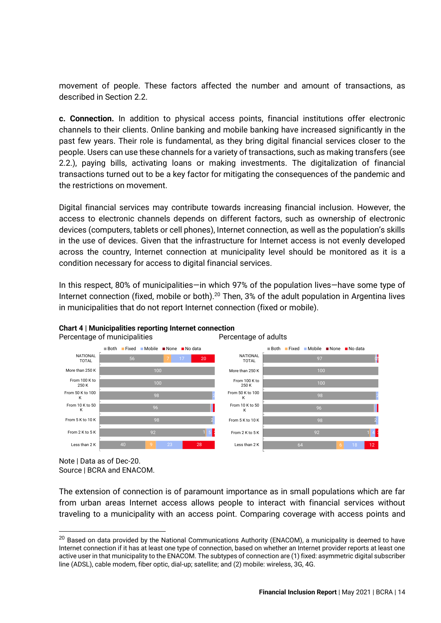movement of people. These factors affected the number and amount of transactions, as described in Section 2.2.

**c. Connection.** In addition to physical access points, financial institutions offer electronic channels to their clients. Online banking and mobile banking have increased significantly in the past few years. Their role is fundamental, as they bring digital financial services closer to the people. Users can use these channels for a variety of transactions, such as making transfers (see 2.2.), paying bills, activating loans or making investments. The digitalization of financial transactions turned out to be a key factor for mitigating the consequences of the pandemic and the restrictions on movement.

Digital financial services may contribute towards increasing financial inclusion. However, the access to electronic channels depends on different factors, such as ownership of electronic devices (computers, tablets or cell phones), Internet connection, as well as the population's skills in the use of devices. Given that the infrastructure for Internet access is not evenly developed across the country, Internet connection at municipality level should be monitored as it is a condition necessary for access to digital financial services.

In this respect, 80% of municipalities—in which 97% of the population lives—have some type of Internet connection (fixed, mobile or both).<sup>20</sup> Then, 3% of the adult population in Argentina lives in municipalities that do not report Internet connection (fixed or mobile).



### **Chart 4 | Municipalities reporting Internet connection**

Note | Data as of Dec-20. Source | BCRA and ENACOM.

The extension of connection is of paramount importance as in small populations which are far from urban areas Internet access allows people to interact with financial services without traveling to a municipality with an access point. Comparing coverage with access points and

<sup>&</sup>lt;sup>20</sup> Based on data provided by the National Communications Authority (ENACOM), a municipality is deemed to have Internet connection if it has at least one type of connection, based on whether an Internet provider reports at least one active user in that municipality to the ENACOM. The subtypes of connection are (1) fixed: asymmetric digital subscriber line (ADSL), cable modem, fiber optic, dial-up; satellite; and (2) mobile: wireless, 3G, 4G.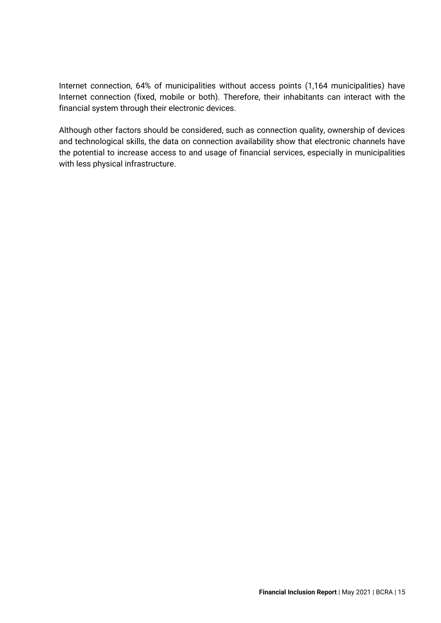Internet connection, 64% of municipalities without access points (1,164 municipalities) have Internet connection (fixed, mobile or both). Therefore, their inhabitants can interact with the financial system through their electronic devices.

Although other factors should be considered, such as connection quality, ownership of devices and technological skills, the data on connection availability show that electronic channels have the potential to increase access to and usage of financial services, especially in municipalities with less physical infrastructure.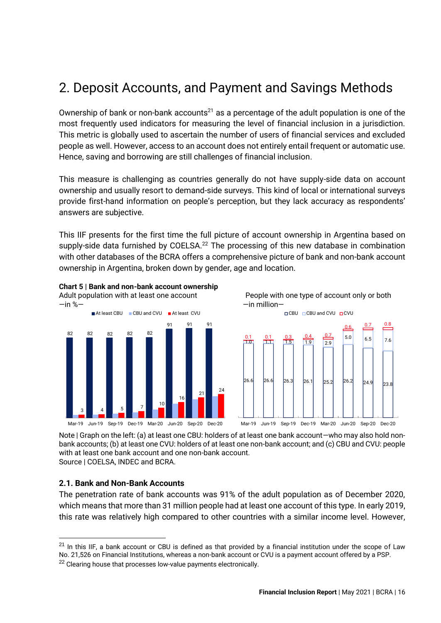# <span id="page-16-0"></span>2. Deposit Accounts, and Payment and Savings Methods

Ownership of bank or non-bank accounts<sup>21</sup> as a percentage of the adult population is one of the most frequently used indicators for measuring the level of financial inclusion in a jurisdiction. This metric is globally used to ascertain the number of users of financial services and excluded people as well. However, access to an account does not entirely entail frequent or automatic use. Hence, saving and borrowing are still challenges of financial inclusion.

This measure is challenging as countries generally do not have supply-side data on account ownership and usually resort to demand-side surveys. This kind of local or international surveys provide first-hand information on people's perception, but they lack accuracy as respondents' answers are subjective.

This IIF presents for the first time the full picture of account ownership in Argentina based on supply-side data furnished by COELSA.<sup>22</sup> The processing of this new database in combination with other databases of the BCRA offers a comprehensive picture of bank and non-bank account ownership in Argentina, broken down by gender, age and location.



**Chart 5 | Bank and non-bank account ownership**





Note | Graph on the left: (a) at least one CBU: holders of at least one bank account—who may also hold nonbank accounts; (b) at least one CVU: holders of at least one non-bank account; and (c) CBU and CVU: people with at least one bank account and one non-bank account. Source | COELSA, INDEC and BCRA.

### <span id="page-16-1"></span>**2.1. Bank and Non-Bank Accounts**

The penetration rate of bank accounts was 91% of the adult population as of December 2020, which means that more than 31 million people had at least one account of this type. In early 2019, this rate was relatively high compared to other countries with a similar income level. However,

 $21$  In this IIF, a bank account or CBU is defined as that provided by a financial institution under the scope of Law No. 21,526 on Financial Institutions, whereas a non-bank account or CVU is a payment account offered by a PSP.

 $22$  Clearing house that processes low-value payments electronically.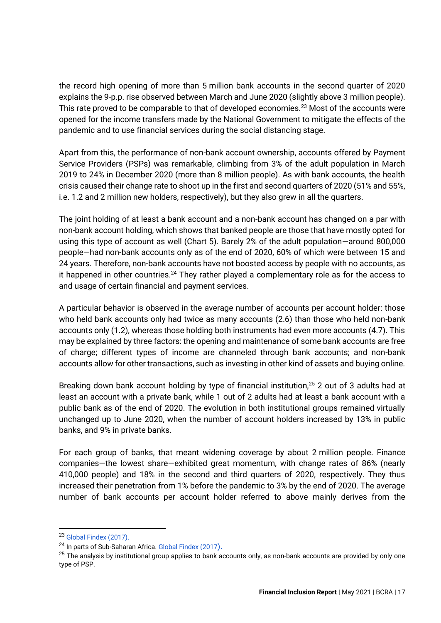the record high opening of more than 5 million bank accounts in the second quarter of 2020 explains the 9-p.p. rise observed between March and June 2020 (slightly above 3 million people). This rate proved to be comparable to that of developed economies.<sup>23</sup> Most of the accounts were opened for the income transfers made by the National Government to mitigate the effects of the pandemic and to use financial services during the social distancing stage.

Apart from this, the performance of non-bank account ownership, accounts offered by Payment Service Providers (PSPs) was remarkable, climbing from 3% of the adult population in March 2019 to 24% in December 2020 (more than 8 million people). As with bank accounts, the health crisis caused their change rate to shoot up in the first and second quarters of 2020 (51% and 55%, i.e. 1.2 and 2 million new holders, respectively), but they also grew in all the quarters.

The joint holding of at least a bank account and a non-bank account has changed on a par with non-bank account holding, which shows that banked people are those that have mostly opted for using this type of account as well (Chart 5). Barely 2% of the adult population—around 800,000 people—had non-bank accounts only as of the end of 2020, 60% of which were between 15 and 24 years. Therefore, non-bank accounts have not boosted access by people with no accounts, as it happened in other countries.<sup>24</sup> They rather played a complementary role as for the access to and usage of certain financial and payment services.

A particular behavior is observed in the average number of accounts per account holder: those who held bank accounts only had twice as many accounts (2.6) than those who held non-bank accounts only (1.2), whereas those holding both instruments had even more accounts (4.7). This may be explained by three factors: the opening and maintenance of some bank accounts are free of charge; different types of income are channeled through bank accounts; and non-bank accounts allow for other transactions, such as investing in other kind of assets and buying online.

Breaking down bank account holding by type of financial institution,<sup>25</sup> 2 out of 3 adults had at least an account with a private bank, while 1 out of 2 adults had at least a bank account with a public bank as of the end of 2020. The evolution in both institutional groups remained virtually unchanged up to June 2020, when the number of account holders increased by 13% in public banks, and 9% in private banks.

For each group of banks, that meant widening coverage by about 2 million people. Finance companies—the lowest share—exhibited great momentum, with change rates of 86% (nearly 410,000 people) and 18% in the second and third quarters of 2020, respectively. They thus increased their penetration from 1% before the pandemic to 3% by the end of 2020. The average number of bank accounts per account holder referred to above mainly derives from the

<sup>23</sup> [Global Findex \(2017\).](https://globalfindex.worldbank.org/)

<sup>&</sup>lt;sup>24</sup> In parts of Sub-Saharan Africa. [Global Findex \(2017](https://globalfindex.worldbank.org/)).

<sup>&</sup>lt;sup>25</sup> The analysis by institutional group applies to bank accounts only, as non-bank accounts are provided by only one type of PSP.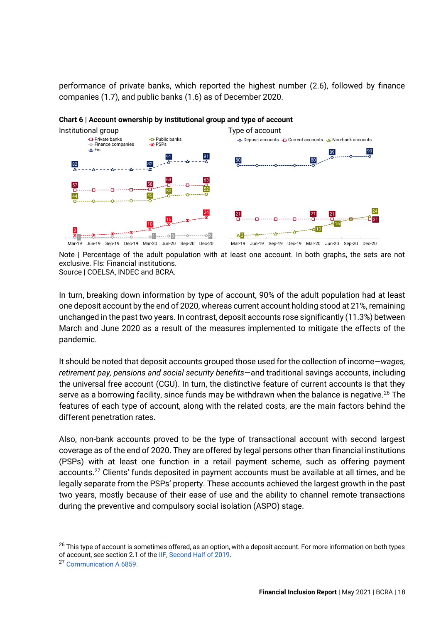performance of private banks, which reported the highest number (2.6), followed by finance companies (1.7), and public banks (1.6) as of December 2020.



#### **Chart 6 | Account ownership by institutional group and type of account**

Note | Percentage of the adult population with at least one account. In both graphs, the sets are not exclusive. FIs: Financial institutions. Source | COELSA, INDEC and BCRA.

In turn, breaking down information by type of account, 90% of the adult population had at least one deposit account by the end of 2020, whereas current account holding stood at 21%, remaining unchanged in the past two years. In contrast, deposit accounts rose significantly (11.3%) between March and June 2020 as a result of the measures implemented to mitigate the effects of the pandemic.

It should be noted that deposit accounts grouped those used for the collection of income—*wages, retirement pay, pensions and social security benefits*—and traditional savings accounts, including the universal free account (CGU). In turn, the distinctive feature of current accounts is that they serve as a borrowing facility, since funds may be withdrawn when the balance is negative.<sup>26</sup> The features of each type of account, along with the related costs, are the main factors behind the different penetration rates.

Also, non-bank accounts proved to be the type of transactional account with second largest coverage as of the end of 2020. They are offered by legal persons other than financial institutions (PSPs) with at least one function in a retail payment scheme, such as offering payment accounts.<sup>27</sup> Clients' funds deposited in payment accounts must be available at all times, and be legally separate from the PSPs' property. These accounts achieved the largest growth in the past two years, mostly because of their ease of use and the ability to channel remote transactions during the preventive and compulsory social isolation (ASPO) stage.

<sup>&</sup>lt;sup>26</sup> This type of account is sometimes offered, as an option, with a deposit account. For more information on both types of account, see section 2.1 of th[e IIF, Second Half of 2019.](http://www.bcra.gob.ar/PublicacionesEstadisticas/informe-inclusion-financiera-0219.asp#cuentas) 

<sup>27</sup> [Communication A 6859.](http://www.bcra.gov.ar/Pdfs/comytexord/A6859.pdf)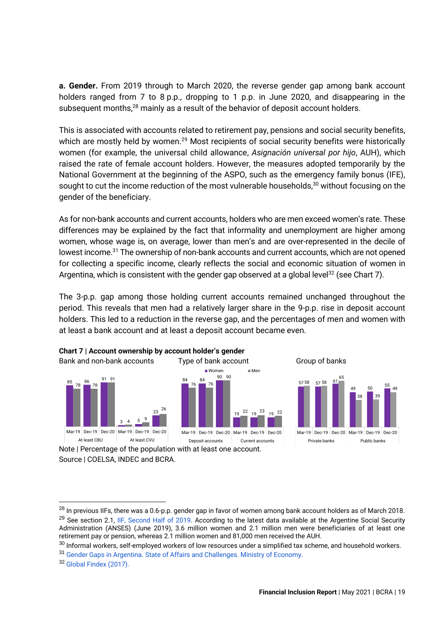**a. Gender.** From 2019 through to March 2020, the reverse gender gap among bank account holders ranged from 7 to 8 p.p., dropping to 1 p.p. in June 2020, and disappearing in the subsequent months,<sup>28</sup> mainly as a result of the behavior of deposit account holders.

This is associated with accounts related to retirement pay, pensions and social security benefits, which are mostly held by women.<sup>29</sup> Most recipients of social security benefits were historically women (for example, the universal child allowance, *Asignación universal por hijo*, AUH), which raised the rate of female account holders. However, the measures adopted temporarily by the National Government at the beginning of the ASPO, such as the emergency family bonus (IFE), sought to cut the income reduction of the most vulnerable households, $30$  without focusing on the gender of the beneficiary.

As for non-bank accounts and current accounts, holders who are men exceed women's rate. These differences may be explained by the fact that informality and unemployment are higher among women, whose wage is, on average, lower than men's and are over-represented in the decile of lowest income.<sup>31</sup> The ownership of non-bank accounts and current accounts, which are not opened for collecting a specific income, clearly reflects the social and economic situation of women in Argentina, which is consistent with the gender gap observed at a global level<sup>32</sup> (see Chart 7).

The 3-p.p. gap among those holding current accounts remained unchanged throughout the period. This reveals that men had a relatively larger share in the 9-p.p. rise in deposit account holders. This led to a reduction in the reverse gap, and the percentages of men and women with at least a bank account and at least a deposit account became even.



**Chart 7 | Account ownership by account holder's gender**

Note | Percentage of the population with at least one account. Source | COELSA, INDEC and BCRA.

49

 $^{28}$  In previous IIFs, there was a 0.6-p.p. gender gap in favor of women among bank account holders as of March 2018. <sup>29</sup> See section 2.1, [IIF, Second Half of 2019.](http://www.bcra.gob.ar/PublicacionesEstadisticas/informe-inclusion-financiera-0219.asp#cuentas) According to the latest data available at the Argentine Social Security Administration (ANSES) (June 2019), 3.6 million women and 2.1 million men were beneficiaries of at least one retirement pay or pension, whereas 2.1 million women and 81,000 men received the AUH.

 $30$  Informal workers, self-employed workers of low resources under a simplified tax scheme, and household workers. <sup>31</sup> [Gender Gaps in Argentina.](https://www.argentina.gob.ar/sites/default/files/las_brechas_de_genero_en_la_argentina_0.pdf) [State of Affairs and Challenges.](https://www.argentina.gob.ar/sites/default/files/las_brechas_de_genero_en_la_argentina_0.pdf) [Ministry of Economy.](https://www.argentina.gob.ar/sites/default/files/las_brechas_de_genero_en_la_argentina_0.pdf)

<sup>32</sup> [Global Findex \(2017\).](https://globalfindex.worldbank.org/)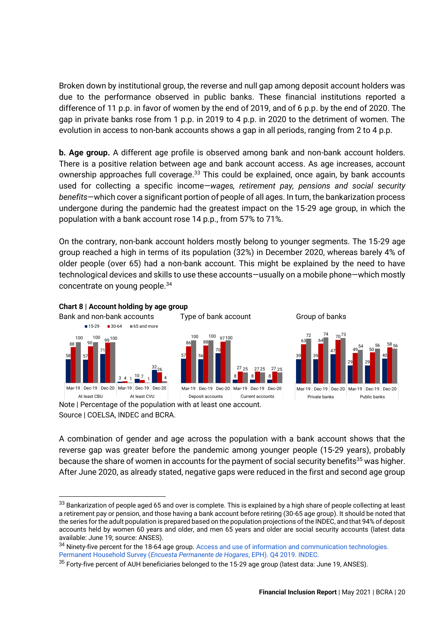Broken down by institutional group, the reverse and null gap among deposit account holders was due to the performance observed in public banks. These financial institutions reported a difference of 11 p.p. in favor of women by the end of 2019, and of 6 p.p. by the end of 2020. The gap in private banks rose from 1 p.p. in 2019 to 4 p.p. in 2020 to the detriment of women. The evolution in access to non-bank accounts shows a gap in all periods, ranging from 2 to 4 p.p.

**b. Age group.** A different age profile is observed among bank and non-bank account holders. There is a positive relation between age and bank account access. As age increases, account ownership approaches full coverage.<sup>33</sup> This could be explained, once again, by bank accounts used for collecting a specific income—*wages, retirement pay, pensions and social security benefits*—which cover a significant portion of people of all ages. In turn, the bankarization process undergone during the pandemic had the greatest impact on the 15-29 age group, in which the population with a bank account rose 14 p.p., from 57% to 71%.

On the contrary, non-bank account holders mostly belong to younger segments. The 15-29 age group reached a high in terms of its population (32%) in December 2020, whereas barely 4% of older people (over 65) had a non-bank account. This might be explained by the need to have technological devices and skills to use these accounts—usually on a mobile phone—which mostly concentrate on young people.<sup>34</sup>



Note | Percentage of the population with at least one account. Source | COELSA, INDEC and BCRA.

A combination of gender and age across the population with a bank account shows that the reverse gap was greater before the pandemic among younger people (15-29 years), probably because the share of women in accounts for the payment of social security benefits<sup>35</sup> was higher. After June 2020, as already stated, negative gaps were reduced in the first and second age group

<sup>34</sup> Ninety-five percent for the 18-64 age group. [Access and use of information and communication technologies.](https://www.indec.gob.ar/uploads/informesdeprensa/mautic_05_20A36AF16B31.pdf) Permanent Household Survey (*[Encuesta Permanente de Hogares](https://www.indec.gob.ar/uploads/informesdeprensa/mautic_05_20A36AF16B31.pdf)*, EPH). [Q4 2019.](https://www.indec.gob.ar/uploads/informesdeprensa/mautic_05_20A36AF16B31.pdf) [INDEC.](https://www.indec.gob.ar/uploads/informesdeprensa/mautic_05_20A36AF16B31.pdf)

<sup>33</sup> Bankarization of people aged 65 and over is complete. This is explained by a high share of people collecting at least a retirement pay or pension, and those having a bank account before retiring (30-65 age group). It should be noted that the series for the adult population is prepared based on the population projections of the INDEC, and that 94% of deposit accounts held by women 60 years and older, and men 65 years and older are social security accounts (latest data available: June 19; source: ANSES).

 $35$  Forty-five percent of AUH beneficiaries belonged to the 15-29 age group (latest data: June 19, ANSES).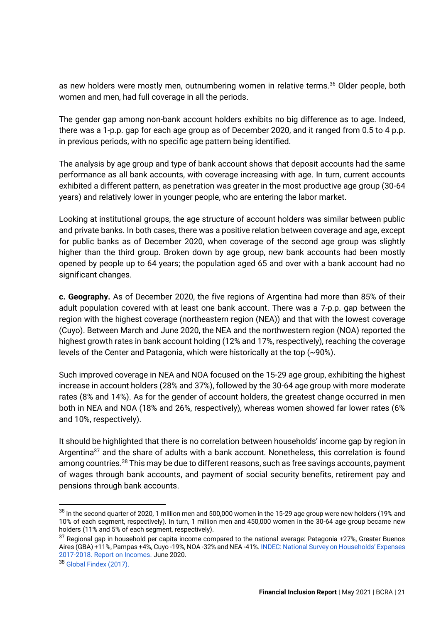as new holders were mostly men, outnumbering women in relative terms.<sup>36</sup> Older people, both women and men, had full coverage in all the periods.

The gender gap among non-bank account holders exhibits no big difference as to age. Indeed, there was a 1-p.p. gap for each age group as of December 2020, and it ranged from 0.5 to 4 p.p. in previous periods, with no specific age pattern being identified.

The analysis by age group and type of bank account shows that deposit accounts had the same performance as all bank accounts, with coverage increasing with age. In turn, current accounts exhibited a different pattern, as penetration was greater in the most productive age group (30-64 years) and relatively lower in younger people, who are entering the labor market.

Looking at institutional groups, the age structure of account holders was similar between public and private banks. In both cases, there was a positive relation between coverage and age, except for public banks as of December 2020, when coverage of the second age group was slightly higher than the third group. Broken down by age group, new bank accounts had been mostly opened by people up to 64 years; the population aged 65 and over with a bank account had no significant changes.

**c. Geography.** As of December 2020, the five regions of Argentina had more than 85% of their adult population covered with at least one bank account. There was a 7-p.p. gap between the region with the highest coverage (northeastern region (NEA)) and that with the lowest coverage (Cuyo). Between March and June 2020, the NEA and the northwestern region (NOA) reported the highest growth rates in bank account holding (12% and 17%, respectively), reaching the coverage levels of the Center and Patagonia, which were historically at the top (~90%).

Such improved coverage in NEA and NOA focused on the 15-29 age group, exhibiting the highest increase in account holders (28% and 37%), followed by the 30-64 age group with more moderate rates (8% and 14%). As for the gender of account holders, the greatest change occurred in men both in NEA and NOA (18% and 26%, respectively), whereas women showed far lower rates (6% and 10%, respectively).

It should be highlighted that there is no correlation between households' income gap by region in Argentina<sup>37</sup> and the share of adults with a bank account. Nonetheless, this correlation is found among countries.<sup>38</sup> This may be due to different reasons, such as free savings accounts, payment of wages through bank accounts, and payment of social security benefits, retirement pay and pensions through bank accounts.

 $36$  In the second quarter of 2020, 1 million men and 500,000 women in the 15-29 age group were new holders (19% and 10% of each segment, respectively). In turn, 1 million men and 450,000 women in the 30-64 age group became new holders (11% and 5% of each segment, respectively).

 $37$  Regional gap in household per capita income compared to the national average: Patagonia +27%, Greater Buenos Aires (GBA) +11%, Pampas +4%, Cuyo -19%, NOA -32% and NEA -41%. INDEC: [National Survey on Households' Expenses](https://www.indec.gob.ar/ftp/cuadros/sociedad/engho_2017_2018_informe_ingresos.pdf)  [2017-2018.](https://www.indec.gob.ar/ftp/cuadros/sociedad/engho_2017_2018_informe_ingresos.pdf) [Report on Incomes.](https://www.indec.gob.ar/ftp/cuadros/sociedad/engho_2017_2018_informe_ingresos.pdf) June 2020.

<sup>38</sup> [Global Findex \(2017\).](https://globalfindex.worldbank.org/)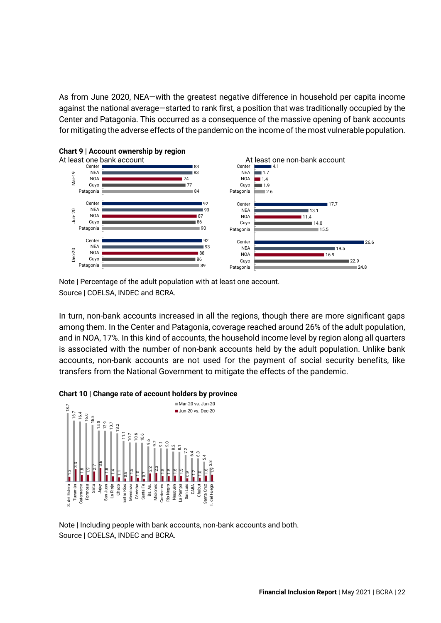As from June 2020, NEA—with the greatest negative difference in household per capita income against the national average—started to rank first, a position that was traditionally occupied by the Center and Patagonia. This occurred as a consequence of the massive opening of bank accounts for mitigating the adverse effects of the pandemic on the income of the most vulnerable population.



### **Chart 9 | Account ownership by region**

Note | Percentage of the adult population with at least one account. Source | COELSA, INDEC and BCRA.

In turn, non-bank accounts increased in all the regions, though there are more significant gaps among them. In the Center and Patagonia, coverage reached around 26% of the adult population, and in NOA, 17%. In this kind of accounts, the household income level by region along all quarters is associated with the number of non-bank accounts held by the adult population. Unlike bank accounts, non-bank accounts are not used for the payment of social security benefits, like transfers from the National Government to mitigate the effects of the pandemic.

#### **Chart 10 | Change rate of account holders by province**



Note | Including people with bank accounts, non-bank accounts and both. Source | COELSA, INDEC and BCRA.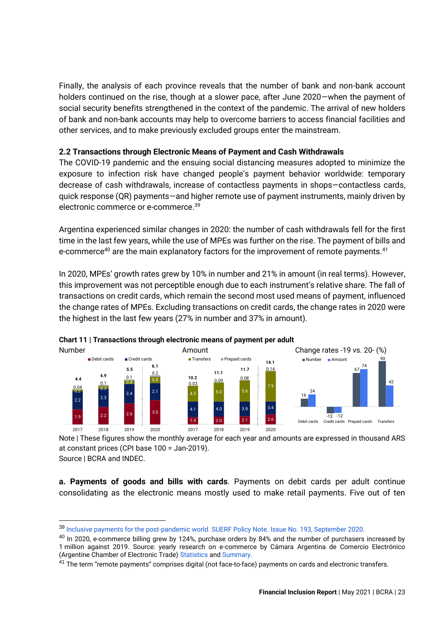Finally, the analysis of each province reveals that the number of bank and non-bank account holders continued on the rise, though at a slower pace, after June 2020—when the payment of social security benefits strengthened in the context of the pandemic. The arrival of new holders of bank and non-bank accounts may help to overcome barriers to access financial facilities and other services, and to make previously excluded groups enter the mainstream.

### <span id="page-23-0"></span>**2.2 Transactions through Electronic Means of Payment and Cash Withdrawals**

The COVID-19 pandemic and the ensuing social distancing measures adopted to minimize the exposure to infection risk have changed people's payment behavior worldwide: temporary decrease of cash withdrawals, increase of contactless payments in shops—contactless cards, quick response (QR) payments—and higher remote use of payment instruments, mainly driven by electronic commerce or e-commerce. 39

Argentina experienced similar changes in 2020: the number of cash withdrawals fell for the first time in the last few years, while the use of MPEs was further on the rise. The payment of bills and e-commerce<sup>40</sup> are the main explanatory factors for the improvement of remote payments.<sup>41</sup>

In 2020, MPEs' growth rates grew by 10% in number and 21% in amount (in real terms). However, this improvement was not perceptible enough due to each instrument's relative share. The fall of transactions on credit cards, which remain the second most used means of payment, influenced the change rates of MPEs. Excluding transactions on credit cards, the change rates in 2020 were the highest in the last few years (27% in number and 37% in amount).



**Chart 11 | Transactions through electronic means of payment per adult** 

Note | These figures show the monthly average for each year and amounts are expressed in thousand ARS at constant prices (CPI base 100 = Jan-2019).

Source | BCRA and INDEC.

**a. Payments of goods and bills with cards**. Payments on debit cards per adult continue consolidating as the electronic means mostly used to make retail payments. Five out of ten

<sup>39</sup> [Inclusive payments for the post-pandemic world.](https://www.suerf.org/policynotes/16645/inclusive-payments-for-the-post-pandemic-world) [SUERF Policy Note.](https://www.suerf.org/policynotes/16645/inclusive-payments-for-the-post-pandemic-world) [Issue No. 193, September 2020.](https://www.suerf.org/policynotes/16645/inclusive-payments-for-the-post-pandemic-world) 

<sup>&</sup>lt;sup>40</sup> In 2020, e-commerce billing grew by 124%, purchase orders by 84% and the number of purchasers increased by 1 million against 2019. Source: yearly research on e-commerce by Cámara Argentina de Comercio Electrónico (Argentine Chamber of Electronic Trade) [Statistics](https://www.cace.org.ar/estadisticas) an[d Summary.](https://cace.org.ar/uploads/estudios/Estudio%20Anual%20Comercio%20Electrónico%20CACE%202020%20-%20Resumen.pdf)

<sup>&</sup>lt;sup>41</sup> The term "remote payments" comprises digital (not face-to-face) payments on cards and electronic transfers.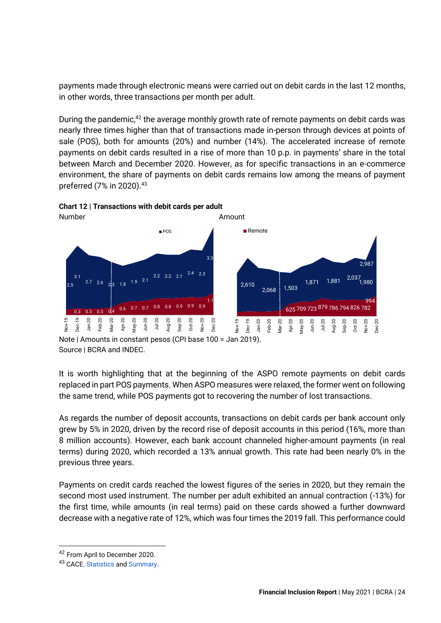payments made through electronic means were carried out on debit cards in the last 12 months, in other words, three transactions per month per adult.

During the pandemic, $42$  the average monthly growth rate of remote payments on debit cards was nearly three times higher than that of transactions made in-person through devices at points of sale (POS), both for amounts (20%) and number (14%). The accelerated increase of remote payments on debit cards resulted in a rise of more than 10 p.p. in payments' share in the total between March and December 2020. However, as for specific transactions in an e-commerce environment, the share of payments on debit cards remains low among the means of payment preferred (7% in 2020).<sup>43</sup>



**Chart 12 | Transactions with debit cards per adult**

Note | Amounts in constant pesos (CPI base 100 = Jan 2019). Source | BCRA and INDEC.

It is worth highlighting that at the beginning of the ASPO remote payments on debit cards replaced in part POS payments. When ASPO measures were relaxed, the former went on following the same trend, while POS payments got to recovering the number of lost transactions.

As regards the number of deposit accounts, transactions on debit cards per bank account only grew by 5% in 2020, driven by the record rise of deposit accounts in this period (16%, more than 8 million accounts). However, each bank account channeled higher-amount payments (in real terms) during 2020, which recorded a 13% annual growth. This rate had been nearly 0% in the previous three years.

Payments on credit cards reached the lowest figures of the series in 2020, but they remain the second most used instrument. The number per adult exhibited an annual contraction (-13%) for the first time, while amounts (in real terms) paid on these cards showed a further downward decrease with a negative rate of 12%, which was four times the 2019 fall. This performance could

<sup>42</sup> From April to December 2020.

<sup>43</sup> CACE. [Statistics](https://www.cace.org.ar/estadisticas) and [Summary](https://cace.org.ar/uploads/estudios/Estudio%20Anual%20Comercio%20Electrónico%20CACE%202020%20-%20Resumen.pdf).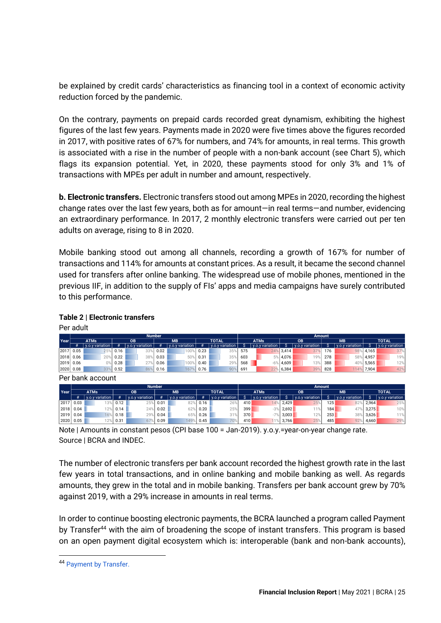be explained by credit cards' characteristics as financing tool in a context of economic activity reduction forced by the pandemic.

On the contrary, payments on prepaid cards recorded great dynamism, exhibiting the highest figures of the last few years. Payments made in 2020 were five times above the figures recorded in 2017, with positive rates of 67% for numbers, and 74% for amounts, in real terms. This growth is associated with a rise in the number of people with a non-bank account (see Chart 5), which flags its expansion potential. Yet, in 2020, these payments stood for only 3% and 1% of transactions with MPEs per adult in number and amount, respectively.

**b. Electronic transfers.** Electronic transfers stood out among MPEs in 2020, recording the highest change rates over the last few years, both as for amount—in real terms—and number, evidencing an extraordinary performance. In 2017, 2 monthly electronic transfers were carried out per ten adults on average, rising to 8 in 2020.

Mobile banking stood out among all channels, recording a growth of 167% for number of transactions and 114% for amounts at constant prices. As a result, it became the second channel used for transfers after online banking. The widespread use of mobile phones, mentioned in the previous IIF, in addition to the supply of FIs' apps and media campaigns have surely contributed to this performance.

| Per adult |             |                  |      |                 |               |                 |      |                 |     |                 |       |                 |                  |                 |           |                 |
|-----------|-------------|------------------|------|-----------------|---------------|-----------------|------|-----------------|-----|-----------------|-------|-----------------|------------------|-----------------|-----------|-----------------|
|           |             |                  |      |                 | <b>Number</b> |                 |      |                 |     |                 |       | <b>Amount</b>   |                  |                 |           |                 |
| Year      |             | <b>ATMs</b>      |      | $\overline{OB}$ |               | <b>MB</b>       |      | <b>TOTAL</b>    |     | <b>ATMs</b>     |       | $\overline{OB}$ |                  | M <sub>B</sub>  |           | <b>TOTAL</b>    |
|           | #           | y.o.y variation  | #    | y.o.y variation | #             | y.o.y variation | #    | y.o.y variation |     | y.o.y variation |       | y.o.y variation | s                | y.o.y variation | s         | y.o.y variation |
| 2017      | 0.05        | 25%              | 0.16 | 33%             | 0.02          | 100%            | 0.23 | 35%             | 575 | 24%             | 3,414 | 37%             | 176              |                 | 98% 4,165 | 37%             |
| 2018      | 0.06        | 20%              | 0.22 | 38%             | 0.03          | 50%             | 0.31 | 35%             | 603 | 5%              | 4,076 | 19%             | 278              |                 | 58% 4,957 | 19%             |
| 2019      | 0.06        | 0%               | 0.28 | 27%             | 0.06          | 100%            | 0.40 | 29%             | 568 | $-6%$           | 4,609 | 13%             | 388              | 40%             | 5,565     | 12%             |
| 2020 0.08 |             | 339              | 0.52 | 86%             | 0.16          | 167%            | 0.76 | 90%             | 691 | 22%             | 6,384 | 39%             | 828              | 114%            | 7,904     | 42%             |
|           |             | Per bank account |      |                 |               |                 |      |                 |     |                 |       |                 |                  |                 |           |                 |
|           |             |                  |      |                 | <b>Number</b> |                 |      |                 |     |                 |       |                 | <b>Amount</b>    |                 |           |                 |
| Year      |             | <b>ATMs</b>      |      | <b>OB</b>       |               | <b>MB</b>       |      | <b>TOTAL</b>    |     | <b>ATMs</b>     |       | <b>OB</b>       |                  | <b>MB</b>       |           | <b>TOTAL</b>    |
|           | #           | y.o.y variation  | #    | y.o.y variation | #             | y.o.y variation | #    | y.o.y variation |     | y.o.y variation |       | y.o.y variation | S                | y.o.y variation | S.        | y.o.y variation |
| 2017      | 0.03        | 13%              | 0.12 | 25%             | 0.01          | 82%             | 0.16 | 26%             | 410 | 14%             | 2,429 | 25%             | 125 <sub>1</sub> | 82%             | 2,964     | 25%             |
| 2018      | 0.04        | 12%              | 0.14 | 24%             | 0.02          | 629             | 0.20 | 25%             | 399 | $-3%$           | 2,692 | 11%             | 184              | 47%             | 3,275     | 10%             |
|           | $2019$ 0.04 | 16%              | 0.18 | 29%             | 0.04          | 65%             | 0.26 | 31%             | 370 | $-7%$           | 3,003 | 12%             | 253              | 38%             | 3,626     | 11%             |

2020 0.05 12% 0.31 67% 0.09 149% 0.45 70% 410 11% 3,766 25% 485 92% 4,660 29%

### **Table 2 | Electronic transfers**

Note | Amounts in constant pesos (CPI base 100 = Jan-2019). y.o.y.=year-on-year change rate. Source | BCRA and INDEC.

The number of electronic transfers per bank account recorded the highest growth rate in the last few years in total transactions, and in online banking and mobile banking as well. As regards amounts, they grew in the total and in mobile banking. Transfers per bank account grew by 70% against 2019, with a 29% increase in amounts in real terms.

In order to continue boosting electronic payments, the BCRA launched a program called Payment by Transfer<sup>44</sup> with the aim of broadening the scope of instant transfers. This program is based on an open payment digital ecosystem which is: interoperable (bank and non-bank accounts),

<sup>44</sup> [Payment by Transfer.](http://www.bcra.gov.ar/Noticias/transferencias-3-0.asp)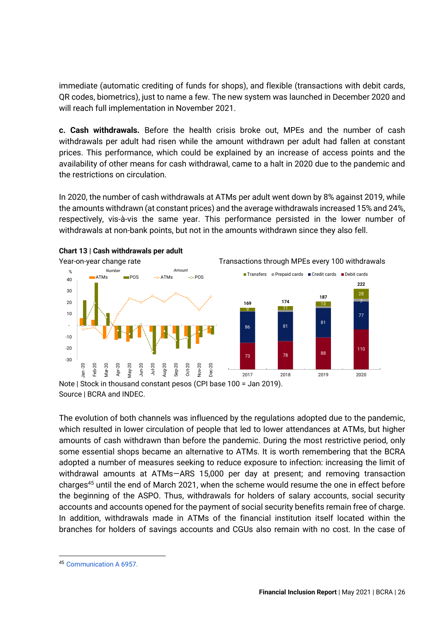immediate (automatic crediting of funds for shops), and flexible (transactions with debit cards, QR codes, biometrics), just to name a few. The new system was launched in December 2020 and will reach full implementation in November 2021.

**c. Cash withdrawals.** Before the health crisis broke out, MPEs and the number of cash withdrawals per adult had risen while the amount withdrawn per adult had fallen at constant prices. This performance, which could be explained by an increase of access points and the availability of other means for cash withdrawal, came to a halt in 2020 due to the pandemic and the restrictions on circulation.

In 2020, the number of cash withdrawals at ATMs per adult went down by 8% against 2019, while the amounts withdrawn (at constant prices) and the average withdrawals increased 15% and 24%, respectively, vis-à-vis the same year. This performance persisted in the lower number of withdrawals at non-bank points, but not in the amounts withdrawn since they also fell.



Note | Stock in thousand constant pesos (CPI base 100 = Jan 2019). Source | BCRA and INDEC.

The evolution of both channels was influenced by the regulations adopted due to the pandemic, which resulted in lower circulation of people that led to lower attendances at ATMs, but higher amounts of cash withdrawn than before the pandemic. During the most restrictive period, only some essential shops became an alternative to ATMs. It is worth remembering that the BCRA adopted a number of measures seeking to reduce exposure to infection: increasing the limit of withdrawal amounts at ATMs—ARS 15,000 per day at present; and removing transaction charges<sup>45</sup> until the end of March 2021, when the scheme would resume the one in effect before the beginning of the ASPO. Thus, withdrawals for holders of salary accounts, social security accounts and accounts opened for the payment of social security benefits remain free of charge. In addition, withdrawals made in ATMs of the financial institution itself located within the branches for holders of savings accounts and CGUs also remain with no cost. In the case of

<sup>45</sup> [Communication A 6957.](http://www.bcra.gov.ar/pdfs/comytexord/A6957.pdf)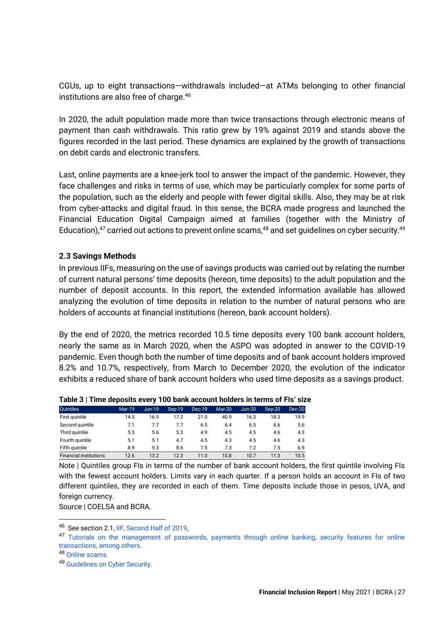CGUs, up to eight transactions—withdrawals included—at ATMs belonging to other financial institutions are also free of charge.<sup>46</sup>

In 2020, the adult population made more than twice transactions through electronic means of payment than cash withdrawals. This ratio grew by 19% against 2019 and stands above the figures recorded in the last period. These dynamics are explained by the growth of transactions on debit cards and electronic transfers.

Last, online payments are a knee-jerk tool to answer the impact of the pandemic. However, they face challenges and risks in terms of use, which may be particularly complex for some parts of the population, such as the elderly and people with fewer digital skills. Also, they may be at risk from cyber-attacks and digital fraud. In this sense, the BCRA made progress and launched the Financial Education Digital Campaign aimed at families (together with the Ministry of Education), $47$  carried out actions to prevent online scams, $48$  and set guidelines on cyber security. $49$ 

### <span id="page-27-0"></span>**2.3 Savings Methods**

In previous IIFs, measuring on the use of savings products was carried out by relating the number of current natural persons' time deposits (hereon, time deposits) to the adult population and the number of deposit accounts. In this report, the extended information available has allowed analyzing the evolution of time deposits in relation to the number of natural persons who are holders of accounts at financial institutions (hereon, bank account holders).

By the end of 2020, the metrics recorded 10.5 time deposits every 100 bank account holders, nearly the same as in March 2020, when the ASPO was adopted in answer to the COVID-19 pandemic. Even though both the number of time deposits and of bank account holders improved 8.2% and 10.7%, respectively, from March to December 2020, the evolution of the indicator exhibits a reduced share of bank account holders who used time deposits as a savings product.

| <b>Ouintiles</b>              | <b>Mar-19</b> | <b>Jun-19</b> | Sep-19 | Dec-19 | $Mar-20$ | $Jun-20$ | Sep-20 | $Dec-20$ |
|-------------------------------|---------------|---------------|--------|--------|----------|----------|--------|----------|
| First quintile                | 14.5          | 16.9          | 17.2   | 21.0   | 40.9     | 16.3     | 18.3   | 19.9     |
| Second quintile               | 7.1           | 7.7           | 7.7    | 6.5    | 6.4      | 6.5      | 6.6    | 5.6      |
| Third quintile                | 5.3           | 5.6           | 5.3    | 4.9    | 4.5      | 4.5      | 4.6    | 4.3      |
| Fourth quintile               | 5.1           | 5.1           | 4.7    | 4.5    | 4.3      | 4.5      | 4.6    | 4.3      |
| Fifth quintile                | 8.9           | 9.3           | 8.6    | 7.5    | 7.3      | 7.2      | 7.5    | 6.9      |
| <b>Financial institutions</b> | 12.6          | 13.2          | 12.3   | 11.0   | 10.8     | 10.7     | 11.3   | 10.5     |
|                               |               |               |        |        |          |          |        |          |

|  |  | Table 3   Time deposits every 100 bank account holders in terms of FIs' size |  |
|--|--|------------------------------------------------------------------------------|--|
|--|--|------------------------------------------------------------------------------|--|

Note | Quintiles group FIs in terms of the number of bank account holders, the first quintile involving FIs with the fewest account holders. Limits vary in each quarter. If a person holds an account in FIs of two different quintiles, they are recorded in each of them. Time deposits include those in pesos, UVA, and foreign currency.

Source | COELSA and BCRA.

<sup>&</sup>lt;sup>46</sup> See section 2.1, IIF, Second Half of 2019<u>.</u>

<sup>&</sup>lt;sup>47</sup> Tutorials on the management of passwords, payments through online banking, security features for online [transactions, among others.](about:blank)

<sup>48</sup> [Online scams.](http://www.bcra.gov.ar/Noticias/Como-evitar-estafas-virtuales.asp)

<sup>49</sup> [Guidelines on Cyber Security.](http://www.bcra.gov.ar/SistemasFinancierosYdePagos/lineamientos-de-ciberseguridad.asp)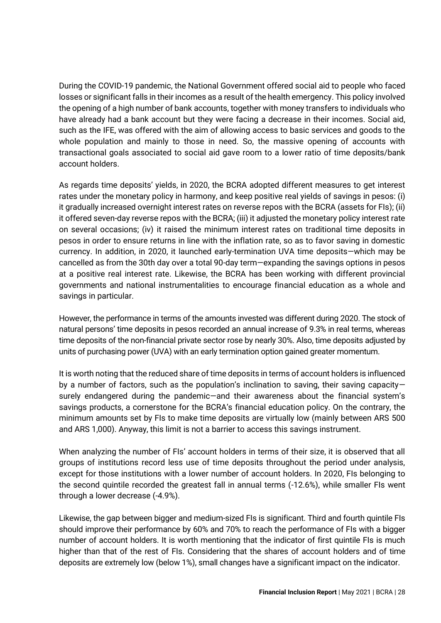During the COVID-19 pandemic, the National Government offered social aid to people who faced losses or significant falls in their incomes as a result of the health emergency. This policy involved the opening of a high number of bank accounts, together with money transfers to individuals who have already had a bank account but they were facing a decrease in their incomes. Social aid, such as the IFE, was offered with the aim of allowing access to basic services and goods to the whole population and mainly to those in need. So, the massive opening of accounts with transactional goals associated to social aid gave room to a lower ratio of time deposits/bank account holders.

As regards time deposits' yields, in 2020, the BCRA adopted different measures to get interest rates under the monetary policy in harmony, and keep positive real yields of savings in pesos: (i) it gradually increased overnight interest rates on reverse repos with the BCRA (assets for FIs); (ii) it offered seven-day reverse repos with the BCRA; (iii) it adjusted the monetary policy interest rate on several occasions; (iv) it raised the minimum interest rates on traditional time deposits in pesos in order to ensure returns in line with the inflation rate, so as to favor saving in domestic currency. In addition, in 2020, it launched early-termination UVA time deposits—which may be cancelled as from the 30th day over a total 90-day term—expanding the savings options in pesos at a positive real interest rate. Likewise, the BCRA has been working with different provincial governments and national instrumentalities to encourage financial education as a whole and savings in particular.

However, the performance in terms of the amounts invested was different during 2020. The stock of natural persons' time deposits in pesos recorded an annual increase of 9.3% in real terms, whereas time deposits of the non-financial private sector rose by nearly 30%. Also, time deposits adjusted by units of purchasing power (UVA) with an early termination option gained greater momentum.

It is worth noting that the reduced share of time deposits in terms of account holders is influenced by a number of factors, such as the population's inclination to saving, their saving capacity surely endangered during the pandemic—and their awareness about the financial system's savings products, a cornerstone for the BCRA's financial education policy. On the contrary, the minimum amounts set by FIs to make time deposits are virtually low (mainly between ARS 500 and ARS 1,000). Anyway, this limit is not a barrier to access this savings instrument.

When analyzing the number of FIs' account holders in terms of their size, it is observed that all groups of institutions record less use of time deposits throughout the period under analysis, except for those institutions with a lower number of account holders. In 2020, FIs belonging to the second quintile recorded the greatest fall in annual terms (-12.6%), while smaller FIs went through a lower decrease (-4.9%).

Likewise, the gap between bigger and medium-sized FIs is significant. Third and fourth quintile FIs should improve their performance by 60% and 70% to reach the performance of FIs with a bigger number of account holders. It is worth mentioning that the indicator of first quintile FIs is much higher than that of the rest of FIs. Considering that the shares of account holders and of time deposits are extremely low (below 1%), small changes have a significant impact on the indicator.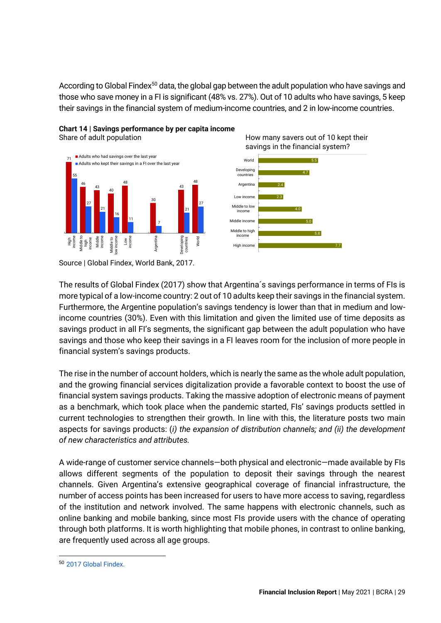According to Global Findex<sup>50</sup> data, the global gap between the adult population who have savings and those who save money in a FI is significant (48% vs. 27%). Out of 10 adults who have savings, 5 keep their savings in the financial system of medium-income countries, and 2 in low-income countries.





Share of adult population **How many savers out of 10 kept their** savings in the financial system?



The results of Global Findex (2017) show that Argentina´s savings performance in terms of FIs is more typical of a low-income country: 2 out of 10 adults keep their savings in the financial system. Furthermore, the Argentine population's savings tendency is lower than that in medium and lowincome countries (30%). Even with this limitation and given the limited use of time deposits as savings product in all FI's segments, the significant gap between the adult population who have savings and those who keep their savings in a FI leaves room for the inclusion of more people in financial system's savings products.

The rise in the number of account holders, which is nearly the same as the whole adult population, and the growing financial services digitalization provide a favorable context to boost the use of financial system savings products. Taking the massive adoption of electronic means of payment as a benchmark, which took place when the pandemic started, FIs' savings products settled in current technologies to strengthen their growth. In line with this, the literature posts two main aspects for savings products: (*i) the expansion of distribution channels; and (ii) the development of new characteristics and attributes.*

A wide-range of customer service channels—both physical and electronic—made available by FIs allows different segments of the population to deposit their savings through the nearest channels. Given Argentina's extensive geographical coverage of financial infrastructure, the number of access points has been increased for users to have more access to saving, regardless of the institution and network involved. The same happens with electronic channels, such as online banking and mobile banking, since most FIs provide users with the chance of operating through both platforms. It is worth highlighting that mobile phones, in contrast to online banking, are frequently used across all age groups.

Source | Global Findex, World Bank, 2017.

<span id="page-29-0"></span><sup>50</sup> [2017 Global Findex.](https://globalfindex.worldbank.org/)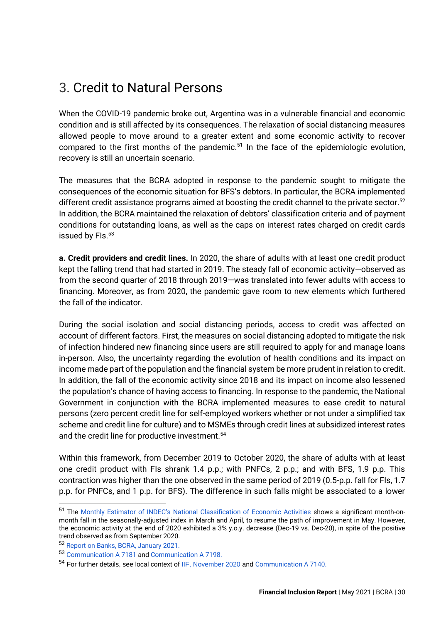### 3. Credit to Natural Persons

When the COVID-19 pandemic broke out, Argentina was in a vulnerable financial and economic condition and is still affected by its consequences. The relaxation of social distancing measures allowed people to move around to a greater extent and some economic activity to recover compared to the first months of the pandemic.<sup>51</sup> In the face of the epidemiologic evolution, recovery is still an uncertain scenario.

The measures that the BCRA adopted in response to the pandemic sought to mitigate the consequences of the economic situation for BFS's debtors. In particular, the BCRA implemented different credit assistance programs aimed at boosting the credit channel to the private sector.<sup>52</sup> In addition, the BCRA maintained the relaxation of debtors' classification criteria and of payment conditions for outstanding loans, as well as the caps on interest rates charged on credit cards issued by FIs.<sup>53</sup>

**a. Credit providers and credit lines.** In 2020, the share of adults with at least one credit product kept the falling trend that had started in 2019. The steady fall of economic activity—observed as from the second quarter of 2018 through 2019—was translated into fewer adults with access to financing. Moreover, as from 2020, the pandemic gave room to new elements which furthered the fall of the indicator.

During the social isolation and social distancing periods, access to credit was affected on account of different factors. First, the measures on social distancing adopted to mitigate the risk of infection hindered new financing since users are still required to apply for and manage loans in-person. Also, the uncertainty regarding the evolution of health conditions and its impact on income made part of the population and the financial system be more prudent in relation to credit. In addition, the fall of the economic activity since 2018 and its impact on income also lessened the population's chance of having access to financing. In response to the pandemic, the National Government in conjunction with the BCRA implemented measures to ease credit to natural persons (zero percent credit line for self-employed workers whether or not under a simplified tax scheme and credit line for culture) and to MSMEs through credit lines at subsidized interest rates and the credit line for productive investment.<sup>54</sup>

Within this framework, from December 2019 to October 2020, the share of adults with at least one credit product with FIs shrank 1.4 p.p.; with PNFCs, 2 p.p.; and with BFS, 1.9 p.p. This contraction was higher than the one observed in the same period of 2019 (0.5-p.p. fall for FIs, 1.7 p.p. for PNFCs, and 1 p.p. for BFS). The difference in such falls might be associated to a lower

<sup>51</sup> The [Monthly Estimator of INDEC's National Classification of Economic Activities](https://www.indec.gob.ar/ftp/cuadros/economia/sh_emae_mensual_base2004.xls) shows a significant month-onmonth fall in the seasonally-adjusted index in March and April, to resume the path of improvement in May. However, the economic activity at the end of 2020 exhibited a 3% y.o.y. decrease (Dec-19 vs. Dec-20), in spite of the positive trend observed as from September 2020.

<sup>52</sup> [Report on Banks, BCRA, January 2021.](http://bcra.gob.ar/PublicacionesEstadisticas/informe-sobre-bancos-enero-21.asp) 

<sup>53</sup> [Communication A 7181](http://www.bcra.gov.ar/pdfs/comytexord/A7181.pdf) an[d Communication A 7198.](http://bcra.gob.ar/Pdfs/comytexord/A7198.pdf)

<sup>54</sup> For further details, see local context of [IIF, November 2020](http://bcra.gob.ar/Pdfs/PublicacionesEstadisticas/IIF_0220.pdf) and [Communication A 7140.](http://bcra.gob.ar/Pdfs/comytexord/A7140.pdf)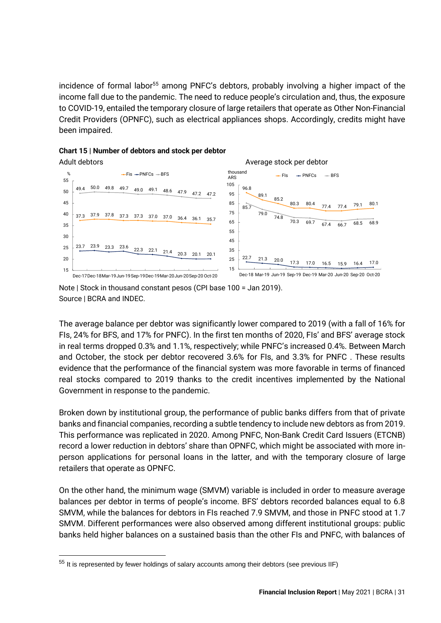incidence of formal labor<sup>55</sup> among PNFC's debtors, probably involving a higher impact of the income fall due to the pandemic. The need to reduce people's circulation and, thus, the exposure to COVID-19, entailed the temporary closure of large retailers that operate as Other Non-Financial Credit Providers (OPNFC), such as electrical appliances shops. Accordingly, credits might have been impaired.



#### **Chart 15 | Number of debtors and stock per debtor**

Note | Stock in thousand constant pesos (CPI base 100 = Jan 2019). Source | BCRA and INDEC.

The average balance per debtor was significantly lower compared to 2019 (with a fall of 16% for FIs, 24% for BFS, and 17% for PNFC). In the first ten months of 2020, FIs' and BFS' average stock in real terms dropped 0.3% and 1.1%, respectively; while PNFC's increased 0.4%. Between March and October, the stock per debtor recovered 3.6% for FIs, and 3.3% for PNFC . These results evidence that the performance of the financial system was more favorable in terms of financed real stocks compared to 2019 thanks to the credit incentives implemented by the National Government in response to the pandemic.

Broken down by institutional group, the performance of public banks differs from that of private banks and financial companies, recording a subtle tendency to include new debtors as from 2019. This performance was replicated in 2020. Among PNFC, Non-Bank Credit Card Issuers (ETCNB) record a lower reduction in debtors' share than OPNFC, which might be associated with more inperson applications for personal loans in the latter, and with the temporary closure of large retailers that operate as OPNFC.

On the other hand, the minimum wage (SMVM) variable is included in order to measure average balances per debtor in terms of people's income. BFS' debtors recorded balances equal to 6.8 SMVM, while the balances for debtors in FIs reached 7.9 SMVM, and those in PNFC stood at 1.7 SMVM. Different performances were also observed among different institutional groups: public banks held higher balances on a sustained basis than the other FIs and PNFC, with balances of

<sup>&</sup>lt;sup>55</sup> It is represented by fewer holdings of salary accounts among their debtors (see previous IIF)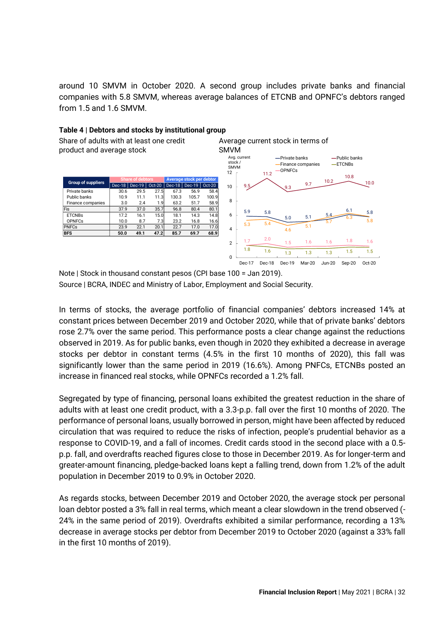around 10 SMVM in October 2020. A second group includes private banks and financial companies with 5.8 SMVM, whereas average balances of ETCNB and OPNFC's debtors ranged from 1.5 and 1.6 SMVM.



#### **Table 4 | Debtors and stocks by institutional group**

Note | Stock in thousand constant pesos (CPI base 100 = Jan 2019). Source | BCRA, INDEC and Ministry of Labor, Employment and Social Security.

In terms of stocks, the average portfolio of financial companies' debtors increased 14% at constant prices between December 2019 and October 2020, while that of private banks' debtors rose 2.7% over the same period. This performance posts a clear change against the reductions observed in 2019. As for public banks, even though in 2020 they exhibited a decrease in average stocks per debtor in constant terms (4.5% in the first 10 months of 2020), this fall was significantly lower than the same period in 2019 (16.6%). Among PNFCs, ETCNBs posted an increase in financed real stocks, while OPNFCs recorded a 1.2% fall.

Segregated by type of financing, personal loans exhibited the greatest reduction in the share of adults with at least one credit product, with a 3.3-p.p. fall over the first 10 months of 2020. The performance of personal loans, usually borrowed in person, might have been affected by reduced circulation that was required to reduce the risks of infection, people's prudential behavior as a response to COVID-19, and a fall of incomes. Credit cards stood in the second place with a 0.5 p.p. fall, and overdrafts reached figures close to those in December 2019. As for longer-term and greater-amount financing, pledge-backed loans kept a falling trend, down from 1.2% of the adult population in December 2019 to 0.9% in October 2020.

As regards stocks, between December 2019 and October 2020, the average stock per personal loan debtor posted a 3% fall in real terms, which meant a clear slowdown in the trend observed (- 24% in the same period of 2019). Overdrafts exhibited a similar performance, recording a 13% decrease in average stocks per debtor from December 2019 to October 2020 (against a 33% fall in the first 10 months of 2019).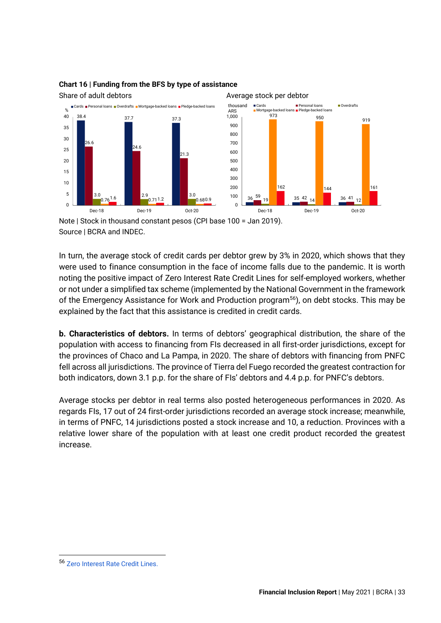

### **Chart 16 | Funding from the BFS by type of assistance**

Note | Stock in thousand constant pesos (CPI base 100 = Jan 2019). Source | BCRA and INDEC.

In turn, the average stock of credit cards per debtor grew by 3% in 2020, which shows that they were used to finance consumption in the face of income falls due to the pandemic. It is worth noting the positive impact of Zero Interest Rate Credit Lines for self-employed workers, whether or not under a simplified tax scheme (implemented by the National Government in the framework of the Emergency Assistance for Work and Production program<sup>56</sup>), on debt stocks. This may be explained by the fact that this assistance is credited in credit cards.

**b. Characteristics of debtors.** In terms of debtors' geographical distribution, the share of the population with access to financing from FIs decreased in all first-order jurisdictions, except for the provinces of Chaco and La Pampa, in 2020. The share of debtors with financing from PNFC fell across all jurisdictions. The province of Tierra del Fuego recorded the greatest contraction for both indicators, down 3.1 p.p. for the share of FIs' debtors and 4.4 p.p. for PNFC's debtors.

Average stocks per debtor in real terms also posted heterogeneous performances in 2020. As regards FIs, 17 out of 24 first-order jurisdictions recorded an average stock increase; meanwhile, in terms of PNFC, 14 jurisdictions posted a stock increase and 10, a reduction. Provinces with a relative lower share of the population with at least one credit product recorded the greatest increase.

<sup>56</sup> [Zero Interest Rate Credit Lines.](https://www.argentina.gob.ar/justicia/derechofacil/leysimple/covid-19-creditos-tasa-0#titulo-1)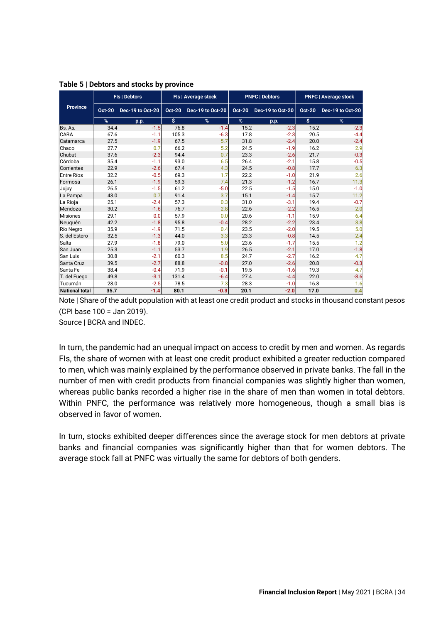|                       |               | Fls   Debtors    |               | Fls   Average stock |               | <b>PNFC   Debtors</b> | <b>PNFC   Average stock</b> |                  |  |
|-----------------------|---------------|------------------|---------------|---------------------|---------------|-----------------------|-----------------------------|------------------|--|
| <b>Province</b>       | <b>Oct-20</b> | Dec-19 to Oct-20 | <b>Oct-20</b> | Dec-19 to Oct-20    | <b>Oct-20</b> | Dec-19 to Oct-20      | <b>Oct-20</b>               | Dec-19 to Oct-20 |  |
|                       | %             | p.p.             | \$            | %                   | %             | p.p.                  | \$                          | %                |  |
| Bs. As.               | 34.4          | $-1.5$           | 76.8          | $-1.4$              | 15.2          | $-2.3$                | 15.2                        | $-2.3$           |  |
| <b>CABA</b>           | 67.6          | $-1.1$           | 105.3         | $-6.3$              | 17.8          | $-2.3$                | 20.5                        | $-4.4$           |  |
| Catamarca             | 27.5          | $-1.9$           | 67.5          | 5.7                 | 31.8          | $-2.4$                | 20.0                        | $-2.4$           |  |
| Chaco                 | 27.7          | 0.7              | 66.2          | 5.2                 | 24.5          | $-1.9$                | 16.2                        | 2.9              |  |
| Chubut                | 37.6          | $-2.3$           | 94.4          | 0.7                 | 23.3          | $-2.6$                | 21.7                        | $-0.3$           |  |
| Córdoba               | 35.4          | $-1.1$           | 93.0          | 6.5                 | 26.4          | $-2.1$                | 15.8                        | $-0.5$           |  |
| Corrientes            | 22.9          | $-2.6$           | 67.4          | 4.3                 | 24.5          | $-0.8$                | 17.7                        | 6.3              |  |
| Entre Ríos            | 32.2          | $-0.5$           | 69.3          | 1.7                 | 22.2          | $-1.0$                | 21.9                        | 2.6              |  |
| Formosa               | 26.1          | $-1.9$           | 59.3          | 7.4                 | 21.3          | $-1.2$                | 16.7                        | 11.3             |  |
| Jujuy                 | 26.5          | $-1.5$           | 61.2          | $-5.0$              | 22.5          | $-1.5$                | 15.0                        | $-1.0$           |  |
| La Pampa              | 43.0          | 0.7              | 91.4          | 3.7                 | 15.1          | $-1.4$                | 15.7                        | 11.2             |  |
| La Rioja              | 25.1          | $-2.4$           | 57.3          | 0.3                 | 31.0          | $-3.1$                | 19.4                        | $-0.7$           |  |
| Mendoza               | 30.2          | $-1.6$           | 76.7          | 2.8                 | 22.6          | $-2.2$                | 16.5                        | 2.0              |  |
| Misiones              | 29.1          | 0.0              | 57.9          | 0.0                 | 20.6          | $-1.1$                | 15.9                        | 6.4              |  |
| Neuguén               | 42.2          | $-1.8$           | 95.8          | $-0.4$              | 28.2          | $-2.2$                | 23.4                        | 3.8              |  |
| Río Negro             | 35.9          | $-1.9$           | 71.5          | 0.4                 | 23.5          | $-2.0$                | 19.5                        | 5.0              |  |
| S. del Estero         | 32.5          | $-1.3$           | 44.0          | 3.3                 | 23.3          | $-0.8$                | 14.5                        | 2.4              |  |
| Salta                 | 27.9          | $-1.8$           | 79.0          | 5.0                 | 23.6          | $-1.7$                | 15.5                        | 1.2              |  |
| San Juan              | 25.3          | $-1.1$           | 53.7          | 1.9                 | 26.5          | $-2.1$                | 17.0                        | $-1.8$           |  |
| San Luis              | 30.8          | $-2.1$           | 60.3          | 8.5                 | 24.7          | $-2.7$                | 16.2                        | 4.7              |  |
| Santa Cruz            | 39.5          | $-2.7$           | 88.8          | $-0.8$              | 27.0          | $-2.6$                | 20.8                        | $-0.3$           |  |
| Santa Fe              | 38.4          | $-0.4$           | 71.9          | $-0.1$              | 19.5          | $-1.6$                | 19.3                        | 4.7              |  |
| T. del Fuego          | 49.8          | $-3.1$           | 131.4         | $-6.4$              | 27.4          | $-4.4$                | 22.0                        | $-8.6$           |  |
| Tucumán               | 28.0          | $-2.5$           | 78.5          | 7.3                 | 28.3          | $-1.0$                | 16.8                        | 1.6              |  |
| <b>National total</b> | 35.7          | $-1.4$           | 80.1          | $-0.3$              | 20.1          | $-2.0$                | 17.0                        | 0.4              |  |

#### **Table 5 | Debtors and stocks by province**

Note | Share of the adult population with at least one credit product and stocks in thousand constant pesos (CPI base 100 = Jan 2019).

Source | BCRA and INDEC.

In turn, the pandemic had an unequal impact on access to credit by men and women. As regards FIs, the share of women with at least one credit product exhibited a greater reduction compared to men, which was mainly explained by the performance observed in private banks. The fall in the number of men with credit products from financial companies was slightly higher than women, whereas public banks recorded a higher rise in the share of men than women in total debtors. Within PNFC, the performance was relatively more homogeneous, though a small bias is observed in favor of women.

In turn, stocks exhibited deeper differences since the average stock for men debtors at private banks and financial companies was significantly higher than that for women debtors. The average stock fall at PNFC was virtually the same for debtors of both genders.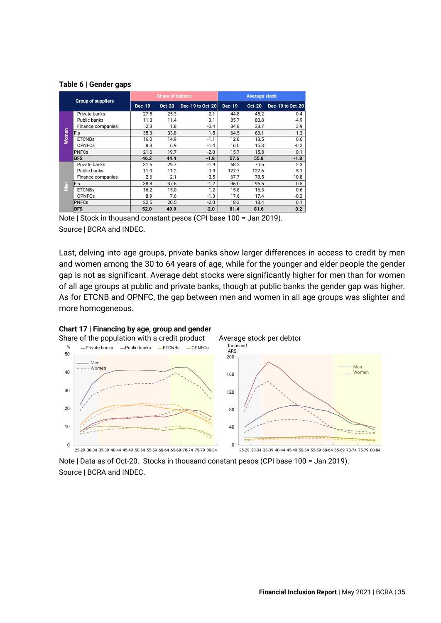#### **Table 6 | Gender gaps**

| <b>Group of suppliers</b> |                   |               | <b>Share of debtors</b> |                  | <b>Average stock</b> |               |                  |  |
|---------------------------|-------------------|---------------|-------------------------|------------------|----------------------|---------------|------------------|--|
|                           |                   | <b>Dec-19</b> | <b>Oct-20</b>           | Dec-19 to Oct-20 | <b>Dec-19</b>        | <b>Oct-20</b> | Dec-19 to Oct-20 |  |
|                           | Private banks     | 27.5          | 25.3                    | $-2.1$           | 44.8                 | 45.2          | 0.4              |  |
|                           | Public banks      | 11.3          | 11.4                    | 0.1              | 85.7                 | 80.8          | $-4.9$           |  |
|                           | Finance companies | 2.3           | 1.8                     | $-0.4$           | 34.8                 | 38.7          | 3.9              |  |
| Women                     | Fis               | 35.3          | 33.8                    | $-1.5$           | 64.5                 | 63.1          | $-1.3$           |  |
|                           | <b>ETCNBs</b>     | 16.0          | 14.9                    | $-1.1$           | 12.8                 | 13.5          | 0.6              |  |
|                           | <b>OPNFCs</b>     | 8.3           | 6.9                     | $-1.4$           | 16.0                 | 15.8          | $-0.2$           |  |
|                           | <b>PNFCs</b>      | 21.6          | 19.7                    | $-2.0$           | 15.7                 | 15.8          | 0.1              |  |
|                           | <b>BFS</b>        | 46.2          | 44.4                    | $-1.8$           | 57.6                 | 55.8          | $-1.8$           |  |
|                           | Private banks     | 31.6          | 29.7                    | $-1.9$           | 68.2                 | 70.5          | 2.3              |  |
|                           | Public banks      | 11.0          | 11.2                    | 0.3              | 127.7                | 122.6         | $-5.1$           |  |
|                           | Finance companies | 2.6           | 2.1                     | $-0.5$           | 67.7                 | 78.5          | 10.8             |  |
| S                         | Fis               | 38.8          | 37.6                    | $-1.2$           | 96.0                 | 96.5          | 0.5              |  |
|                           | <b>ETCNBs</b>     | 16.2          | 15.0                    | $-1.2$           | 15.8                 | 16.3          | 0.6              |  |
|                           | <b>OPNFCs</b>     | 8.9           | 7.6                     | $-1.3$           | 17.6                 | 17.4          | $-0.2$           |  |
|                           | <b>PNFCs</b>      | 22.5          | 20.5                    | $-2.0$           | 18.3                 | 18.4          | 0.1              |  |
|                           | <b>BFS</b>        | 52.0          | 49.9                    | $-2.0$           | 81.4                 | 81.6          | 0.2              |  |

Note | Stock in thousand constant pesos (CPI base 100 = Jan 2019). Source | BCRA and INDEC.

Last, delving into age groups, private banks show larger differences in access to credit by men and women among the 30 to 64 years of age, while for the younger and elder people the gender gap is not as significant. Average debt stocks were significantly higher for men than for women of all age groups at public and private banks, though at public banks the gender gap was higher. As for ETCNB and OPNFC, the gap between men and women in all age groups was slighter and more homogeneous.



Note | Data as of Oct-20. Stocks in thousand constant pesos (CPI base 100 = Jan 2019). Source | BCRA and INDEC.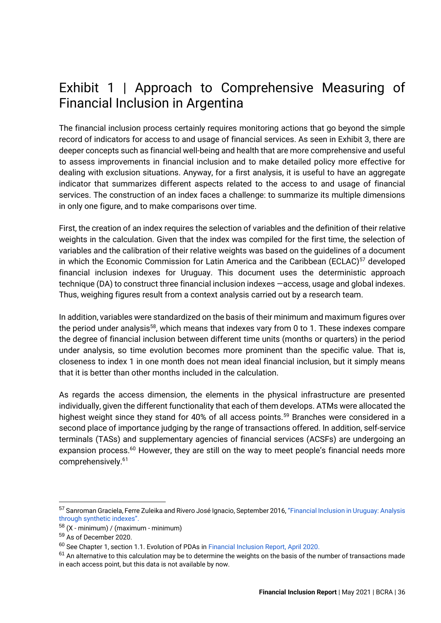### <span id="page-36-0"></span>Exhibit 1 | Approach to Comprehensive Measuring of Financial Inclusion in Argentina

The financial inclusion process certainly requires monitoring actions that go beyond the simple record of indicators for access to and usage of financial services. As seen in Exhibit 3, there are deeper concepts such as financial well-being and health that are more comprehensive and useful to assess improvements in financial inclusion and to make detailed policy more effective for dealing with exclusion situations. Anyway, for a first analysis, it is useful to have an aggregate indicator that summarizes different aspects related to the access to and usage of financial services. The construction of an index faces a challenge: to summarize its multiple dimensions in only one figure, and to make comparisons over time.

First, the creation of an index requires the selection of variables and the definition of their relative weights in the calculation. Given that the index was compiled for the first time, the selection of variables and the calibration of their relative weights was based on the guidelines of a document in which the Economic Commission for Latin America and the Caribbean (ECLAC)<sup>57</sup> developed financial inclusion indexes for Uruguay. This document uses the deterministic approach technique (DA) to construct three financial inclusion indexes —access, usage and global indexes. Thus, weighing figures result from a context analysis carried out by a research team.

In addition, variables were standardized on the basis of their minimum and maximum figures over the period under analysis<sup>58</sup>, which means that indexes vary from 0 to 1. These indexes compare the degree of financial inclusion between different time units (months or quarters) in the period under analysis, so time evolution becomes more prominent than the specific value. That is, closeness to index 1 in one month does not mean ideal financial inclusion, but it simply means that it is better than other months included in the calculation.

As regards the access dimension, the elements in the physical infrastructure are presented individually, given the different functionality that each of them develops. ATMs were allocated the highest weight since they stand for 40% of all access points.<sup>59</sup> Branches were considered in a second place of importance judging by the range of transactions offered. In addition, self-service terminals (TASs) and supplementary agencies of financial services (ACSFs) are undergoing an expansion process.<sup>60</sup> However, they are still on the way to meet people's financial needs more comprehensively.<sup>61</sup>

<sup>57</sup> Sanroman Graciela, Ferre Zuleika and Rivero José Ignacio, September 2016, ["Financial Inclusion in Uruguay:](https://repositorio.cepal.org/bitstream/handle/11362/40632/1/S1600840_es.pdf) [Analysis](https://repositorio.cepal.org/bitstream/handle/11362/40632/1/S1600840_es.pdf)  [through synthetic indexes"](https://repositorio.cepal.org/bitstream/handle/11362/40632/1/S1600840_es.pdf).

 $58$  (X - minimum) / (maximum - minimum)

<sup>59</sup> As of December 2020.

<sup>60</sup> See Chapter 1, section 1.1. Evolution of PDAs i[n](https://www.bcra.gob.ar/Pdfs/PublicacionesEstadisticas/iif0219.pdf) [Financial Inclusion Report, April 2020.](https://www.bcra.gob.ar/Pdfs/PublicacionesEstadisticas/iif0219.pdf)

 $61$  An alternative to this calculation may be to determine the weights on the basis of the number of transactions made in each access point, but this data is not available by now.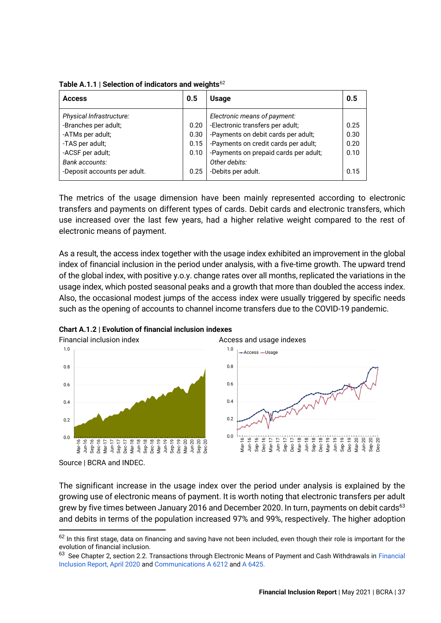| <b>Access</b>                | 0.5  | <b>Usage</b>                          | 0.5  |
|------------------------------|------|---------------------------------------|------|
| Physical Infrastructure:     |      | Electronic means of payment:          |      |
| -Branches per adult;         | 0.20 | -Electronic transfers per adult;      | 0.25 |
| -ATMs per adult;             | 0.30 | -Payments on debit cards per adult;   | 0.30 |
| -TAS per adult;              | 0.15 | -Payments on credit cards per adult;  | 0.20 |
| -ACSF per adult;             | 0.10 | -Payments on prepaid cards per adult; | 0.10 |
| Bank accounts:               |      | Other debits:                         |      |
| -Deposit accounts per adult. | 0.25 | -Debits per adult.                    | 0.15 |
|                              |      |                                       |      |

**Table A.1.1 | Selection of indicators and weights**<sup>62</sup>

The metrics of the usage dimension have been mainly represented according to electronic transfers and payments on different types of cards. Debit cards and electronic transfers, which use increased over the last few years, had a higher relative weight compared to the rest of electronic means of payment.

As a result, the access index together with the usage index exhibited an improvement in the global index of financial inclusion in the period under analysis, with a five-time growth. The upward trend of the global index, with positive y.o.y. change rates over all months, replicated the variations in the usage index, which posted seasonal peaks and a growth that more than doubled the access index. Also, the occasional modest jumps of the access index were usually triggered by specific needs such as the opening of accounts to channel income transfers due to the COVID-19 pandemic.





Source | BCRA and INDEC.

The significant increase in the usage index over the period under analysis is explained by the growing use of electronic means of payment. It is worth noting that electronic transfers per adult grew by five times between January 2016 and December 2020. In turn, payments on debit cards<sup>63</sup> and debits in terms of the population increased 97% and 99%, respectively. The higher adoption

 $62$  In this first stage, data on financing and saving have not been included, even though their role is important for the evolution of financial inclusion.

<sup>&</sup>lt;sup>63</sup> See Chapter 2, section 2.2. Transactions through Electronic Means of Payment and Cash Withdrawals in Financial [Inclusion Report, April 2020](https://www.bcra.gob.ar/Pdfs/PublicacionesEstadisticas/iif0219.pdf) and [Communications A 6212](http://www.bcra.gov.ar/pdfs/comytexord/A6212.pdf) and [A 6425.](http://www.bcra.gov.ar/pdfs/comytexord/A6425.pdf)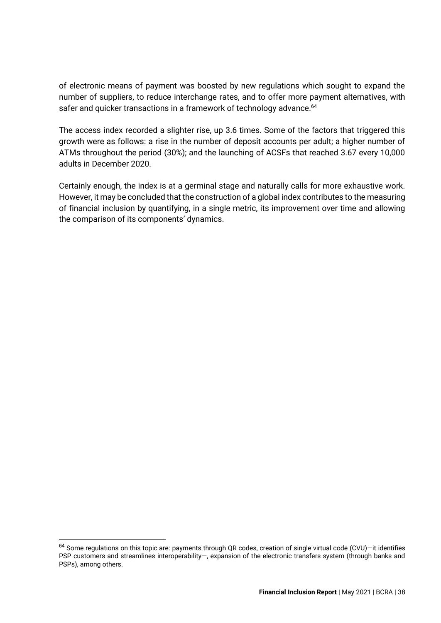of electronic means of payment was boosted by new regulations which sought to expand the number of suppliers, to reduce interchange rates, and to offer more payment alternatives, with safer and quicker transactions in a framework of technology advance. 64

The access index recorded a slighter rise, up 3.6 times. Some of the factors that triggered this growth were as follows: a rise in the number of deposit accounts per adult; a higher number of ATMs throughout the period (30%); and the launching of ACSFs that reached 3.67 every 10,000 adults in December 2020.

Certainly enough, the index is at a germinal stage and naturally calls for more exhaustive work. However, it may be concluded that the construction of a global index contributes to the measuring of financial inclusion by quantifying, in a single metric, its improvement over time and allowing the comparison of its components' dynamics.

 $64$  Some regulations on this topic are: payments through QR codes, creation of single virtual code (CVU)-it identifies PSP customers and streamlines interoperability—, expansion of the electronic transfers system (through banks and PSPs), among others.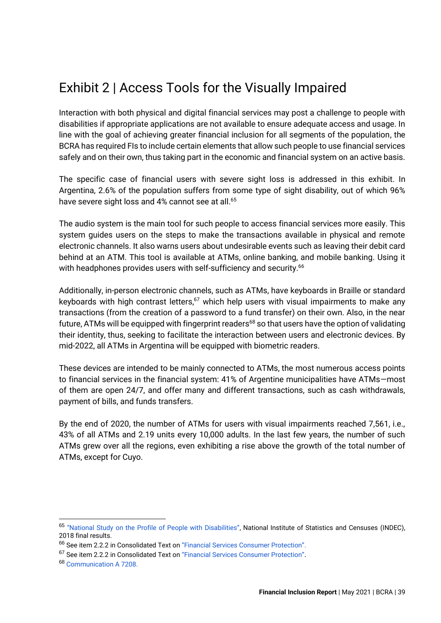# <span id="page-39-0"></span>Exhibit 2 | Access Tools for the Visually Impaired

Interaction with both physical and digital financial services may post a challenge to people with disabilities if appropriate applications are not available to ensure adequate access and usage. In line with the goal of achieving greater financial inclusion for all segments of the population, the BCRA has required FIs to include certain elements that allow such people to use financial services safely and on their own, thus taking part in the economic and financial system on an active basis.

The specific case of financial users with severe sight loss is addressed in this exhibit. In Argentina, 2.6% of the population suffers from some type of sight disability, out of which 96% have severe sight loss and 4% cannot see at all.<sup>65</sup>

The audio system is the main tool for such people to access financial services more easily. This system guides users on the steps to make the transactions available in physical and remote electronic channels. It also warns users about undesirable events such as leaving their debit card behind at an ATM. This tool is available at ATMs, online banking, and mobile banking. Using it with headphones provides users with self-sufficiency and security.<sup>66</sup>

Additionally, in-person electronic channels, such as ATMs, have keyboards in Braille or standard keyboards with high contrast letters, $67$  which help users with visual impairments to make any transactions (from the creation of a password to a fund transfer) on their own. Also, in the near future, ATMs will be equipped with fingerprint readers<sup>68</sup> so that users have the option of validating their identity, thus, seeking to facilitate the interaction between users and electronic devices. By mid-2022, all ATMs in Argentina will be equipped with biometric readers.

These devices are intended to be mainly connected to ATMs, the most numerous access points to financial services in the financial system: 41% of Argentine municipalities have ATMs—most of them are open 24/7, and offer many and different transactions, such as cash withdrawals, payment of bills, and funds transfers.

By the end of 2020, the number of ATMs for users with visual impairments reached 7,561, i.e., 43% of all ATMs and 2.19 units every 10,000 adults. In the last few years, the number of such ATMs grew over all the regions, even exhibiting a rise above the growth of the total number of ATMs, except for Cuyo.

<sup>65</sup> ["National Study on the Profile of People with Disabilities"](https://www.indec.gob.ar/ftp/cuadros/poblacion/estudio_discapacidad_12_18.pdf), National Institute of Statistics and Censuses (INDEC), 2018 final results.

<sup>66</sup> See item 2.2.2 in Consolidated Text on ["Financial Services Consumer Protection"](https://www.bcra.gob.ar/Pdfs/Texord/t-pusf.pdf).

<sup>67</sup> See item 2.2.2 in Consolidated Text on ["Financial Services Consumer Protection"](https://www.bcra.gob.ar/Pdfs/Texord/t-pusf.pdf).

<sup>68</sup> [Communication A 7208.](https://www.bcra.gob.ar/Pdfs/comytexord/A7208.pdf)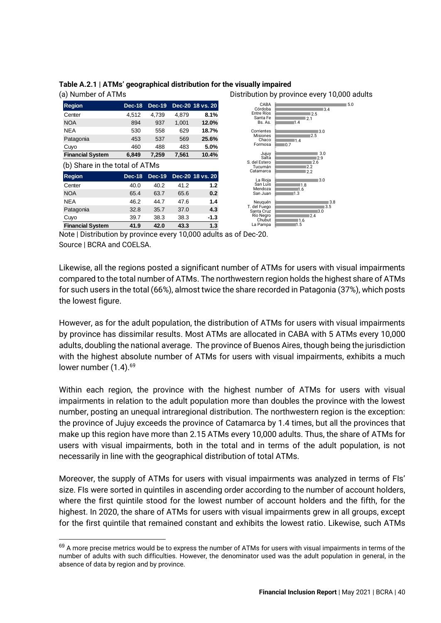

### **Table A.2.1 | ATMs' geographical distribution for the visually impaired**

Note | Distribution by province every 10,000 adults as of Dec-20. Source | BCRA and COELSA.

Likewise, all the regions posted a significant number of ATMs for users with visual impairments compared to the total number of ATMs. The northwestern region holds the highest share of ATMs for such users in the total (66%), almost twice the share recorded in Patagonia (37%), which posts the lowest figure.

However, as for the adult population, the distribution of ATMs for users with visual impairments by province has dissimilar results. Most ATMs are allocated in CABA with 5 ATMs every 10,000 adults, doubling the national average. The province of Buenos Aires, though being the jurisdiction with the highest absolute number of ATMs for users with visual impairments, exhibits a much lower number  $(1.4)$ .<sup>69</sup>

Within each region, the province with the highest number of ATMs for users with visual impairments in relation to the adult population more than doubles the province with the lowest number, posting an unequal intraregional distribution. The northwestern region is the exception: the province of Jujuy exceeds the province of Catamarca by 1.4 times, but all the provinces that make up this region have more than 2.15 ATMs every 10,000 adults. Thus, the share of ATMs for users with visual impairments, both in the total and in terms of the adult population, is not necessarily in line with the geographical distribution of total ATMs.

Moreover, the supply of ATMs for users with visual impairments was analyzed in terms of FIs' size. FIs were sorted in quintiles in ascending order according to the number of account holders, where the first quintile stood for the lowest number of account holders and the fifth, for the highest. In 2020, the share of ATMs for users with visual impairments grew in all groups, except for the first quintile that remained constant and exhibits the lowest ratio. Likewise, such ATMs

 $69$  A more precise metrics would be to express the number of ATMs for users with visual impairments in terms of the number of adults with such difficulties. However, the denominator used was the adult population in general, in the absence of data by region and by province.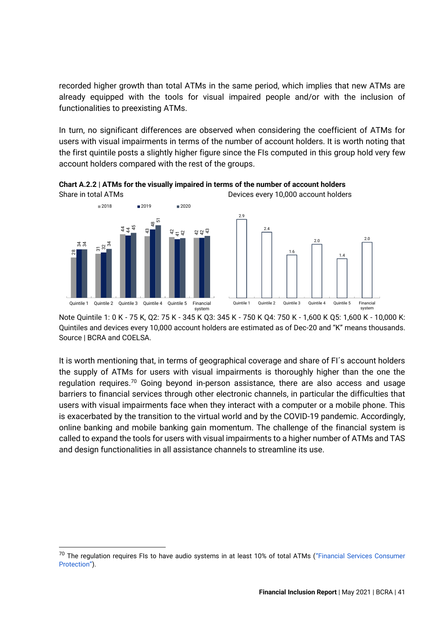recorded higher growth than total ATMs in the same period, which implies that new ATMs are already equipped with the tools for visual impaired people and/or with the inclusion of functionalities to preexisting ATMs.

In turn, no significant differences are observed when considering the coefficient of ATMs for users with visual impairments in terms of the number of account holders. It is worth noting that the first quintile posts a slightly higher figure since the FIs computed in this group hold very few account holders compared with the rest of the groups.

**Chart A.2.2 | ATMs for the visually impaired in terms of the number of account holders** Share in total ATMs Devices every 10,000 account holders



Note Quintile 1: 0 K - 75 K, Q2: 75 K - 345 K Q3: 345 K - 750 K Q4: 750 K - 1,600 K Q5: 1,600 K - 10,000 K: Quintiles and devices every 10,000 account holders are estimated as of Dec-20 and "K" means thousands. Source | BCRA and COELSA.

It is worth mentioning that, in terms of geographical coverage and share of FI´s account holders the supply of ATMs for users with visual impairments is thoroughly higher than the one the regulation requires.<sup>70</sup> Going beyond in-person assistance, there are also access and usage barriers to financial services through other electronic channels, in particular the difficulties that users with visual impairments face when they interact with a computer or a mobile phone. This is exacerbated by the transition to the virtual world and by the COVID-19 pandemic. Accordingly, online banking and mobile banking gain momentum. The challenge of the financial system is called to expand the tools for users with visual impairments to a higher number of ATMs and TAS and design functionalities in all assistance channels to streamline its use. **Example 1.** Countile 2. Our other and devices over the cumbine of the cumbine of cumbine 1. 0 K - 75 K, Q2: 75 K - 345 K Q3<br>Quintiles and devices every 10,000 account hol<br>Source | BCRA and COELSA.<br>It is worth mentioning

<sup>&</sup>lt;sup>70</sup> The regulation requires FIs to have audio systems in at least 10% of total ATMs ("F[inancial Services Consumer](https://www.bcra.gob.ar/Pdfs/Texord/t-pusf.pdf) Protection").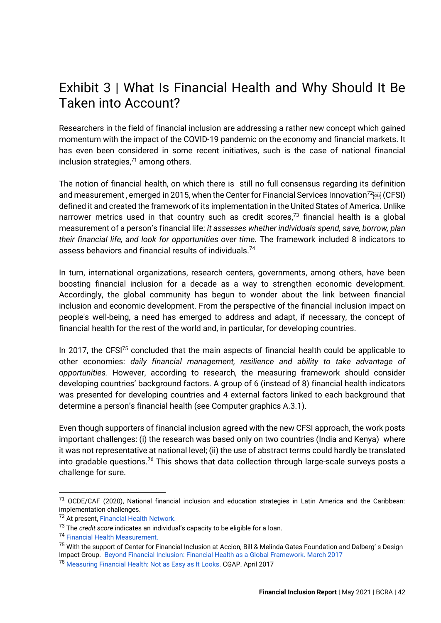### <span id="page-42-0"></span>Exhibit 3 | What Is Financial Health and Why Should It Be Taken into Account?

Researchers in the field of financial inclusion are addressing a rather new concept which gained momentum with the impact of the COVID-19 pandemic on the economy and financial markets. It has even been considered in some recent initiatives, such is the case of national financial inclusion strategies, $71$  among others.

The notion of financial health, on which there is still no full consensus regarding its definition and measurement, emerged in 2015, when the Center for Financial Services Innovation<sup>72</sup> [668] (CFSI) defined it and created the framework of its implementation in the United States of America. Unlike narrower metrics used in that country such as credit scores,<sup>73</sup> financial health is a global measurement of a person's financial life: *it assesses whether individuals spend, save, borrow, plan their financial life, and look for opportunities over time.* The framework included 8 indicators to assess behaviors and financial results of individuals.<sup>74</sup>

In turn, international organizations, research centers, governments, among others, have been boosting financial inclusion for a decade as a way to strengthen economic development. Accordingly, the global community has begun to wonder about the link between financial inclusion and economic development. From the perspective of the financial inclusion impact on people's well-being, a need has emerged to address and adapt, if necessary, the concept of financial health for the rest of the world and, in particular, for developing countries.

In 2017, the CFSI<sup>75</sup> concluded that the main aspects of financial health could be applicable to other economies: *daily financial management, resilience and ability to take advantage of opportunities.* However, according to research, the measuring framework should consider developing countries' background factors. A group of 6 (instead of 8) financial health indicators was presented for developing countries and 4 external factors linked to each background that determine a person's financial health (see Computer graphics A.3.1).

Even though supporters of financial inclusion agreed with the new CFSI approach, the work posts important challenges: (i) the research was based only on two countries (India and Kenya) where it was not representative at national level; (ii) the use of abstract terms could hardly be translated into gradable questions.<sup>76</sup> This shows that data collection through large-scale surveys posts a challenge for sure.

<sup>71</sup> OCDE/CAF (2020), National financial inclusion and education strategies in Latin America and the Caribbean: implementation challenges.

<sup>72</sup> At present, [Financial Health](https://finhealthnetwork.org/) Network.

<sup>73</sup> The *credit score* indicates an individual's capacity to be eligible for a loan.

<sup>74</sup> [Financial Health Measurement.](https://finhealthnetwork.org/research/financial-health-measurement/)

<sup>&</sup>lt;sup>75</sup> With the support of Center for Financial Inclusion at Accion, Bill & Melinda Gates Foundation and Dalberg' s Design Impact Group. [Beyond Financial Inclusion:](https://content.centerforfinancialinclusion.org/wp-content/uploads/sites/2/2017/03/FinHealthGlobal-FINAL.2017.04.11.pdf) [Financial Health as a Global Framework.](https://content.centerforfinancialinclusion.org/wp-content/uploads/sites/2/2017/03/FinHealthGlobal-FINAL.2017.04.11.pdf) [March 2017](https://content.centerforfinancialinclusion.org/wp-content/uploads/sites/2/2017/03/FinHealthGlobal-FINAL.2017.04.11.pdf)

<sup>76</sup> [Measuring Financial Health:](https://www.cgap.org/blog/measuring-financial-health-not-easy-it-looks) [Not as Easy as It Looks.](https://www.cgap.org/blog/measuring-financial-health-not-easy-it-looks) CGAP. April 2017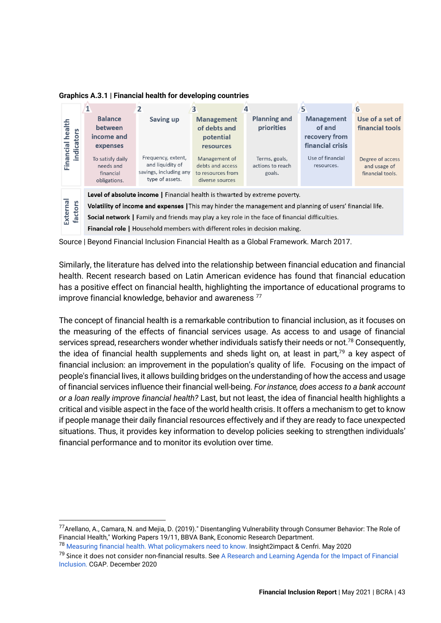**Graphics A.3.1 | Financial health for developing countries**



Source | Beyond Financial Inclusion Financial Health as a Global Framework. March 2017.

Similarly, the literature has delved into the relationship between financial education and financial health. Recent research based on Latin American evidence has found that financial education has a positive effect on financial health, highlighting the importance of educational programs to improve financial knowledge, behavior and awareness<sup>77</sup>

The concept of financial health is a remarkable contribution to financial inclusion, as it focuses on the measuring of the effects of financial services usage. As access to and usage of financial services spread, researchers wonder whether individuals satisfy their needs or not.<sup>78</sup> Consequently. the idea of financial health supplements and sheds light on, at least in part, $79$  a key aspect of financial inclusion: an improvement in the population's quality of life. Focusing on the impact of people's financial lives, it allows building bridges on the understanding of how the access and usage of financial services influence their financial well-being. *For instance, does access to a bank account or a loan really improve financial health?* Last, but not least, the idea of financial health highlights a critical and visible aspect in the face of the world health crisis. It offers a mechanism to get to know if people manage their daily financial resources effectively and if they are ready to face unexpected situations. Thus, it provides key information to develop policies seeking to strengthen individuals' financial performance and to monitor its evolution over time.

<span id="page-43-0"></span><sup>77</sup>Arellano, A., Camara, N. and Mejia, D. (2019)." Disentangling Vulnerability through Consumer Behavior: The Role of Financial Health," Working Papers 19/11, BBVA Bank, Economic Research Department.

<sup>78</sup> [Measuring financial health.](https://cenfri.org/wp-content/uploads/Measuring-Financial-Health.pdf) [What policymakers need to know.](https://cenfri.org/wp-content/uploads/Measuring-Financial-Health.pdf) Insight2impact & Cenfri. May 2020

<sup>&</sup>lt;sup>79</sup> Since it does not consider non-financial results. See A Research and Learning Agenda for the Impact of Financial [Inclusion.](https://www.cgap.org/sites/default/files/publications/2020_12_Focus_Note_Impact_Research_and_Learning_Agenda.pdf) CGAP. December 2020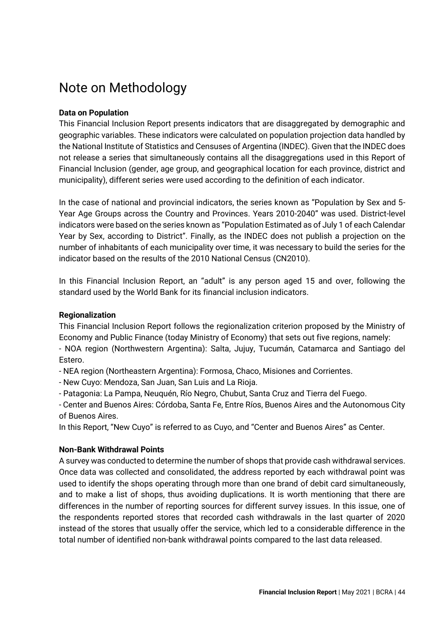### Note on Methodology

### **Data on Population**

This Financial Inclusion Report presents indicators that are disaggregated by demographic and geographic variables. These indicators were calculated on population projection data handled by the National Institute of Statistics and Censuses of Argentina (INDEC). Given that the INDEC does not release a series that simultaneously contains all the disaggregations used in this Report of Financial Inclusion (gender, age group, and geographical location for each province, district and municipality), different series were used according to the definition of each indicator.

In the case of national and provincial indicators, the series known as "Population by Sex and 5- Year Age Groups across the Country and Provinces. Years 2010-2040" was used. District-level indicators were based on the series known as "Population Estimated as of July 1 of each Calendar Year by Sex, according to District". Finally, as the INDEC does not publish a projection on the number of inhabitants of each municipality over time, it was necessary to build the series for the indicator based on the results of the 2010 National Census (CN2010).

In this Financial Inclusion Report, an "adult" is any person aged 15 and over, following the standard used by the World Bank for its financial inclusion indicators.

### **Regionalization**

This Financial Inclusion Report follows the [regionalization criterion proposed by the Ministry of](https://www.economia.gob.ar/peconomica/dnper/reg_nota_meto.pdf)  [Economy and Public Finance](https://www.economia.gob.ar/peconomica/dnper/reg_nota_meto.pdf) (today Ministry of Economy) that sets out five regions, namely:

- NOA region (Northwestern Argentina): Salta, Jujuy, Tucumán, Catamarca and Santiago del Estero.

- NEA region (Northeastern Argentina): Formosa, Chaco, Misiones and Corrientes.

- New Cuyo: Mendoza, San Juan, San Luis and La Rioja.

- Patagonia: La Pampa, Neuquén, Río Negro, Chubut, Santa Cruz and Tierra del Fuego.

- Center and Buenos Aires: Córdoba, Santa Fe, Entre Ríos, Buenos Aires and the Autonomous City of Buenos Aires.

In this Report, "New Cuyo" is referred to as Cuyo, and "Center and Buenos Aires" as Center.

### **Non-Bank Withdrawal Points**

A survey was conducted to determine the number of shops that provide cash withdrawal services. Once data was collected and consolidated, the address reported by each withdrawal point was used to identify the shops operating through more than one brand of debit card simultaneously, and to make a list of shops, thus avoiding duplications. It is worth mentioning that there are differences in the number of reporting sources for different survey issues. In this issue, one of the respondents reported stores that recorded cash withdrawals in the last quarter of 2020 instead of the stores that usually offer the service, which led to a considerable difference in the total number of identified non-bank withdrawal points compared to the last data released.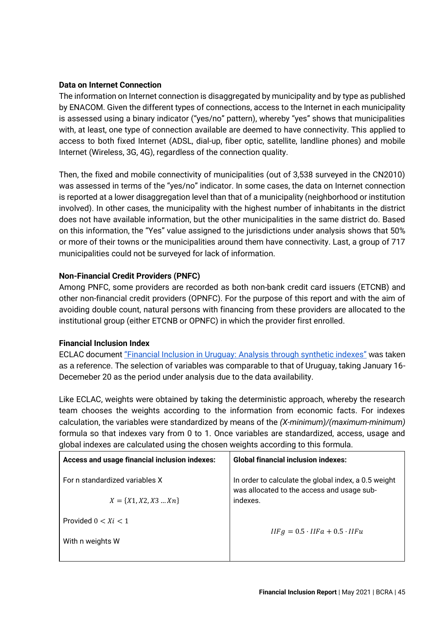### **Data on Internet Connection**

The information on Internet connection is disaggregated by municipality and by type as published by ENACOM. Given the different types of connections, access to the Internet in each municipality is assessed using a binary indicator ("yes/no" pattern), whereby "yes" shows that municipalities with, at least, one type of connection available are deemed to have connectivity. This applied to access to both fixed Internet (ADSL, dial-up, fiber optic, satellite, landline phones) and mobile Internet (Wireless, 3G, 4G), regardless of the connection quality.

Then, the fixed and mobile connectivity of municipalities (out of 3,538 surveyed in the CN2010) was assessed in terms of the "yes/no" indicator. In some cases, the data on Internet connection is reported at a lower disaggregation level than that of a municipality (neighborhood or institution involved). In other cases, the municipality with the highest number of inhabitants in the district does not have available information, but the other municipalities in the same district do. Based on this information, the "Yes" value assigned to the jurisdictions under analysis shows that 50% or more of their towns or the municipalities around them have connectivity. Last, a group of 717 municipalities could not be surveyed for lack of information.

### **Non-Financial Credit Providers (PNFC)**

Among PNFC, some providers are recorded as both non-bank credit card issuers (ETCNB) and other non-financial credit providers (OPNFC). For the purpose of this report and with the aim of avoiding double count, natural persons with financing from these providers are allocated to the institutional group (either ETCNB or OPNFC) in which the provider first enrolled.

### **Financial Inclusion Index**

ECLAC document ["Financial Inclusion in Uruguay:](https://repositorio.cepal.org/bitstream/handle/11362/40632/1/S1600840_es.pdf) [Analysis through synthetic indexes"](https://repositorio.cepal.org/bitstream/handle/11362/40632/1/S1600840_es.pdf) was taken as a reference. The selection of variables was comparable to that of Uruguay, taking January 16- Decemeber 20 as the period under analysis due to the data availability.

Like ECLAC, weights were obtained by taking the deterministic approach, whereby the research team chooses the weights according to the information from economic facts. For indexes calculation, the variables were standardized by means of the *(X-minimum)/(maximum-minimum)* formula so that indexes vary from 0 to 1. Once variables are standardized, access, usage and global indexes are calculated using the chosen weights according to this formula.

| <b>Global financial inclusion indexes:</b>                                                         |
|----------------------------------------------------------------------------------------------------|
| In order to calculate the global index, a 0.5 weight<br>was allocated to the access and usage sub- |
| indexes.                                                                                           |
|                                                                                                    |
| $IIFg = 0.5 \cdot IIFa + 0.5 \cdot IIFu$                                                           |
|                                                                                                    |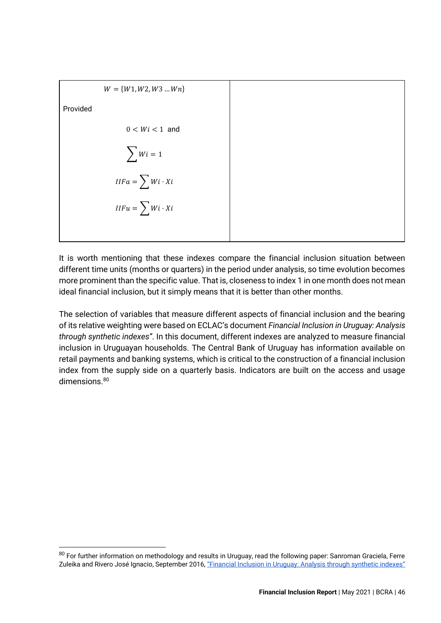| $W = \{W1, W2, W3 \dots Wn\}$ |  |
|-------------------------------|--|
| Provided                      |  |
| $0 < Wi < 1$ and              |  |
| $\sum W_i = 1$                |  |
| $IIFa = \sum Wi \cdot Xi$     |  |
| $IIFu = \sum Wi \cdot Xi$     |  |
|                               |  |

It is worth mentioning that these indexes compare the financial inclusion situation between different time units (months or quarters) in the period under analysis, so time evolution becomes more prominent than the specific value. That is, closeness to index 1 in one month does not mean ideal financial inclusion, but it simply means that it is better than other months.

The selection of variables that measure different aspects of financial inclusion and the bearing of its relative weighting were based on ECLAC's document *Financial Inclusion in Uruguay: Analysis through synthetic indexes"*. In this document, different indexes are analyzed to measure financial inclusion in Uruguayan households. The Central Bank of Uruguay has information available on retail payments and banking systems, which is critical to the construction of a financial inclusion index from the supply side on a quarterly basis. Indicators are built on the access and usage dimensions.<sup>80</sup>

 $80$  For further information on methodology and results in Uruguay, read the following paper: Sanroman Graciela, Ferre Zuleika and Rivero José Ignacio, September 2016, ["Financial Inclusion in Uruguay:](https://repositorio.cepal.org/bitstream/handle/11362/40632/1/S1600840_es.pdf) [Analysis through synthetic indexes"](https://repositorio.cepal.org/bitstream/handle/11362/40632/1/S1600840_es.pdf)